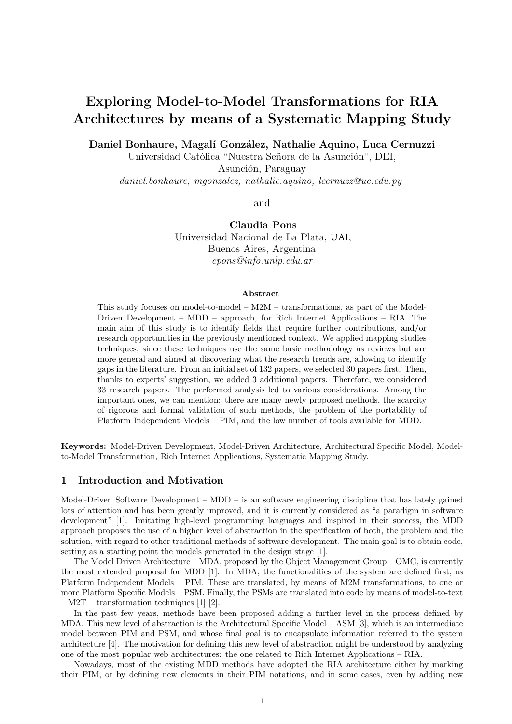# **Exploring Model-to-Model Transformations for RIA Architectures by means of a Systematic Mapping Study**

**Daniel Bonhaure, Magal´ı Gonz´alez, Nathalie Aquino, Luca Cernuzzi**

Universidad Católica "Nuestra Señora de la Asunción", DEI,

Asunción, Paraguay

*daniel.bonhaure, mgonzalez, nathalie.aquino, lcernuzz@uc.edu.py*

and

**Claudia Pons** Universidad Nacional de La Plata, UAI, Buenos Aires, Argentina *cpons@info.unlp.edu.ar*

#### **Abstract**

This study focuses on model-to-model – M2M – transformations, as part of the Model-Driven Development – MDD – approach, for Rich Internet Applications – RIA. The main aim of this study is to identify fields that require further contributions, and/or research opportunities in the previously mentioned context. We applied mapping studies techniques, since these techniques use the same basic methodology as reviews but are more general and aimed at discovering what the research trends are, allowing to identify gaps in the literature. From an initial set of 132 papers, we selected 30 papers first. Then, thanks to experts' suggestion, we added 3 additional papers. Therefore, we considered 33 research papers. The performed analysis led to various considerations. Among the important ones, we can mention: there are many newly proposed methods, the scarcity of rigorous and formal validation of such methods, the problem of the portability of Platform Independent Models – PIM, and the low number of tools available for MDD.

**Keywords:** Model-Driven Development, Model-Driven Architecture, Architectural Specific Model, Modelto-Model Transformation, Rich Internet Applications, Systematic Mapping Study.

## **1 Introduction and Motivation**

Model-Driven Software Development – MDD – is an software engineering discipline that has lately gained lots of attention and has been greatly improved, and it is currently considered as "a paradigm in software development" [\[1\]](#page-22-0). Imitating high-level programming languages and inspired in their success, the MDD approach proposes the use of a higher level of abstraction in the specification of both, the problem and the solution, with regard to other traditional methods of software development. The main goal is to obtain code, setting as a starting point the models generated in the design stage [\[1\]](#page-22-0).

The Model Driven Architecture – MDA, proposed by the Object Management Group – OMG, is currently the most extended proposal for MDD [\[1\]](#page-22-0). In MDA, the functionalities of the system are defined first, as Platform Independent Models – PIM. These are translated, by means of M2M transformations, to one or more Platform Specific Models – PSM. Finally, the PSMs are translated into code by means of model-to-text – M2T – transformation techniques [\[1\]](#page-22-0) [\[2\]](#page-22-1).

In the past few years, methods have been proposed adding a further level in the process defined by MDA. This new level of abstraction is the Architectural Specific Model – ASM [\[3\]](#page-22-2), which is an intermediate model between PIM and PSM, and whose final goal is to encapsulate information referred to the system architecture [\[4\]](#page-22-3). The motivation for defining this new level of abstraction might be understood by analyzing one of the most popular web architectures: the one related to Rich Internet Applications – RIA.

Nowadays, most of the existing MDD methods have adopted the RIA architecture either by marking their PIM, or by defining new elements in their PIM notations, and in some cases, even by adding new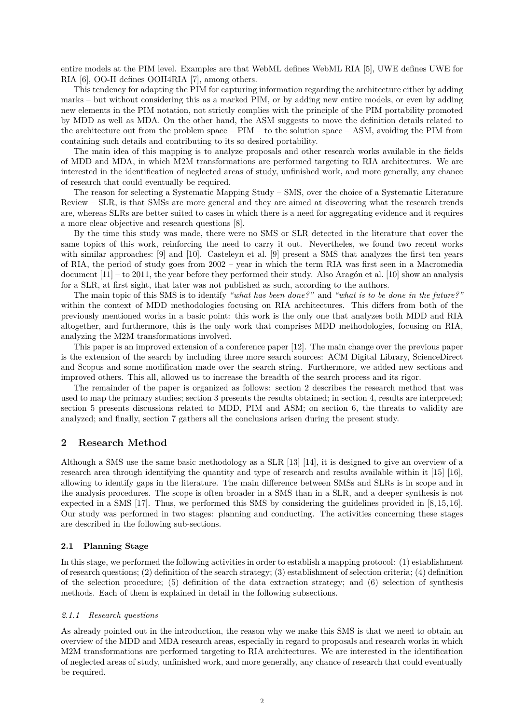entire models at the PIM level. Examples are that WebML defines WebML RIA [\[5\]](#page-22-4), UWE defines UWE for RIA [\[6\]](#page-22-5), OO-H defines OOH4RIA [\[7\]](#page-22-6), among others.

This tendency for adapting the PIM for capturing information regarding the architecture either by adding marks – but without considering this as a marked PIM, or by adding new entire models, or even by adding new elements in the PIM notation, not strictly complies with the principle of the PIM portability promoted by MDD as well as MDA. On the other hand, the ASM suggests to move the definition details related to the architecture out from the problem space –  $\text{PIM}$  – to the solution space – ASM, avoiding the PIM from containing such details and contributing to its so desired portability.

The main idea of this mapping is to analyze proposals and other research works available in the fields of MDD and MDA, in which M2M transformations are performed targeting to RIA architectures. We are interested in the identification of neglected areas of study, unfinished work, and more generally, any chance of research that could eventually be required.

The reason for selecting a Systematic Mapping Study – SMS, over the choice of a Systematic Literature Review – SLR, is that SMSs are more general and they are aimed at discovering what the research trends are, whereas SLRs are better suited to cases in which there is a need for aggregating evidence and it requires a more clear objective and research questions [\[8\]](#page-22-7).

By the time this study was made, there were no SMS or SLR detected in the literature that cover the same topics of this work, reinforcing the need to carry it out. Nevertheles, we found two recent works with similar approaches: [\[9\]](#page-22-8) and [\[10\]](#page-22-9). Casteleyn et al. [\[9\]](#page-22-8) present a SMS that analyzes the first ten years of RIA, the period of study goes from 2002 – year in which the term RIA was first seen in a Macromedia document  $[11]$  – to 2011, the year before they performed their study. Also Aragón et al. [\[10\]](#page-22-9) show an analysis for a SLR, at first sight, that later was not published as such, according to the authors.

The main topic of this SMS is to identify *"what has been done?"* and *"what is to be done in the future?"* within the context of MDD methodologies focusing on RIA architectures. This differs from both of the previously mentioned works in a basic point: this work is the only one that analyzes both MDD and RIA altogether, and furthermore, this is the only work that comprises MDD methodologies, focusing on RIA, analyzing the M2M transformations involved.

This paper is an improved extension of a conference paper [\[12\]](#page-22-11). The main change over the previous paper is the extension of the search by including three more search sources: ACM Digital Library, ScienceDirect and Scopus and some modification made over the search string. Furthermore, we added new sections and improved others. This all, allowed us to increase the breadth of the search process and its rigor.

The remainder of the paper is organized as follows: section 2 describes the research method that was used to map the primary studies; section 3 presents the results obtained; in section 4, results are interpreted; section 5 presents discussions related to MDD, PIM and ASM; on section 6, the threats to validity are analyzed; and finally, section 7 gathers all the conclusions arisen during the present study.

## **2 Research Method**

Although a SMS use the same basic methodology as a SLR [\[13\]](#page-22-12) [\[14\]](#page-22-13), it is designed to give an overview of a research area through identifying the quantity and type of research and results available within it [\[15\]](#page-22-14) [\[16\]](#page-22-15), allowing to identify gaps in the literature. The main difference between SMSs and SLRs is in scope and in the analysis procedures. The scope is often broader in a SMS than in a SLR, and a deeper synthesis is not expected in a SMS [\[17\]](#page-23-0). Thus, we performed this SMS by considering the guidelines provided in [\[8,](#page-22-7) [15,](#page-22-14) [16\]](#page-22-15). Our study was performed in two stages: planning and conducting. The activities concerning these stages are described in the following sub-sections.

## **2.1 Planning Stage**

In this stage, we performed the following activities in order to establish a mapping protocol: (1) establishment of research questions; (2) definition of the search strategy; (3) establishment of selection criteria; (4) definition of the selection procedure; (5) definition of the data extraction strategy; and (6) selection of synthesis methods. Each of them is explained in detail in the following subsections.

#### *2.1.1 Research questions*

As already pointed out in the introduction, the reason why we make this SMS is that we need to obtain an overview of the MDD and MDA research areas, especially in regard to proposals and research works in which M2M transformations are performed targeting to RIA architectures. We are interested in the identification of neglected areas of study, unfinished work, and more generally, any chance of research that could eventually be required.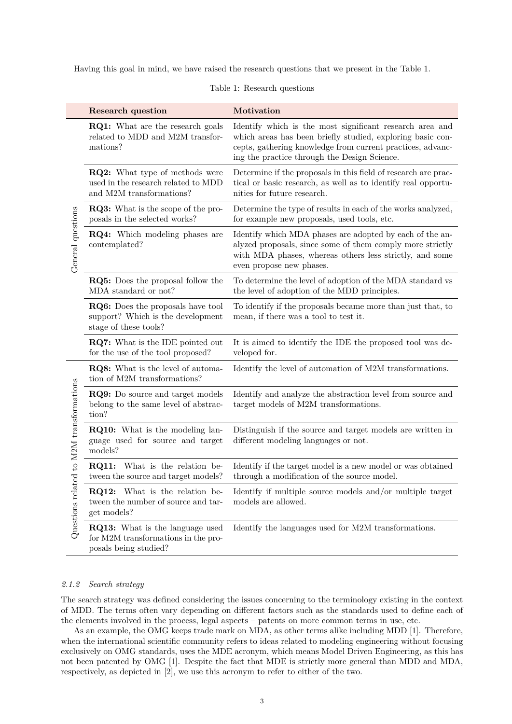<span id="page-2-0"></span>Having this goal in mind, we have raised the research questions that we present in the Table [1.](#page-2-0)

|                                          | Research question                                                                                        | Motivation                                                                                                                                                                                                                           |  |  |
|------------------------------------------|----------------------------------------------------------------------------------------------------------|--------------------------------------------------------------------------------------------------------------------------------------------------------------------------------------------------------------------------------------|--|--|
|                                          | <b>RQ1:</b> What are the research goals<br>related to MDD and M2M transfor-<br>mations?                  | Identify which is the most significant research area and<br>which areas has been briefly studied, exploring basic con-<br>cepts, gathering knowledge from current practices, advanc-<br>ing the practice through the Design Science. |  |  |
| General questions                        | <b>RQ2:</b> What type of methods were<br>used in the research related to MDD<br>and M2M transformations? | Determine if the proposals in this field of research are prac-<br>tical or basic research, as well as to identify real opportu-<br>nities for future research.                                                                       |  |  |
|                                          | <b>RQ3:</b> What is the scope of the pro-<br>posals in the selected works?                               | Determine the type of results in each of the works analyzed,<br>for example new proposals, used tools, etc.                                                                                                                          |  |  |
|                                          | RQ4: Which modeling phases are<br>contemplated?                                                          | Identify which MDA phases are adopted by each of the an-<br>alyzed proposals, since some of them comply more strictly<br>with MDA phases, whereas others less strictly, and some<br>even propose new phases.                         |  |  |
|                                          | <b>RQ5:</b> Does the proposal follow the<br>MDA standard or not?                                         | To determine the level of adoption of the MDA standard vs<br>the level of adoption of the MDD principles.                                                                                                                            |  |  |
|                                          | RQ6: Does the proposals have tool<br>support? Which is the development<br>stage of these tools?          | To identify if the proposals became more than just that, to<br>mean, if there was a tool to test it.                                                                                                                                 |  |  |
|                                          | RQ7: What is the IDE pointed out<br>for the use of the tool proposed?                                    | It is aimed to identify the IDE the proposed tool was de-<br>veloped for.                                                                                                                                                            |  |  |
|                                          | RQ8: What is the level of automa-<br>tion of M2M transformations?                                        | Identify the level of automation of M2M transformations.                                                                                                                                                                             |  |  |
| Questions related to M2M transformations | <b>RQ9:</b> Do source and target models<br>belong to the same level of abstrac-<br>tion?                 | Identify and analyze the abstraction level from source and<br>target models of M2M transformations.                                                                                                                                  |  |  |
|                                          | <b>RQ10:</b> What is the modeling lan-<br>guage used for source and target<br>models?                    | Distinguish if the source and target models are written in<br>different modeling languages or not.                                                                                                                                   |  |  |
|                                          | What is the relation be-<br><b>RQ11:</b><br>tween the source and target models?                          | Identify if the target model is a new model or was obtained<br>through a modification of the source model.                                                                                                                           |  |  |
|                                          | RQ12: What is the relation be-<br>tween the number of source and tar-<br>get models?                     | Identify if multiple source models and/or multiple target<br>models are allowed.                                                                                                                                                     |  |  |
|                                          | RQ13: What is the language used<br>for M2M transformations in the pro-<br>posals being studied?          | Identify the languages used for M2M transformations.                                                                                                                                                                                 |  |  |

## Table 1: Research questions

### <span id="page-2-1"></span>*2.1.2 Search strategy*

The search strategy was defined considering the issues concerning to the terminology existing in the context of MDD. The terms often vary depending on different factors such as the standards used to define each of the elements involved in the process, legal aspects – patents on more common terms in use, etc.

As an example, the OMG keeps trade mark on MDA, as other terms alike including MDD [\[1\]](#page-22-0). Therefore, when the international scientific community refers to ideas related to modeling engineering without focusing exclusively on OMG standards, uses the MDE acronym, which means Model Driven Engineering, as this has not been patented by OMG [\[1\]](#page-22-0). Despite the fact that MDE is strictly more general than MDD and MDA, respectively, as depicted in [\[2\]](#page-22-1), we use this acronym to refer to either of the two.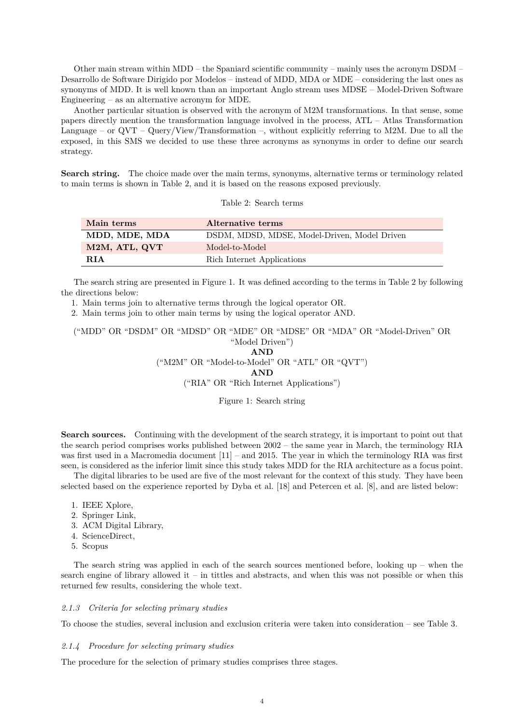Other main stream within MDD – the Spaniard scientific community – mainly uses the acronym DSDM – Desarrollo de Software Dirigido por Modelos – instead of MDD, MDA or MDE – considering the last ones as synonyms of MDD. It is well known than an important Anglo stream uses MDSE – Model-Driven Software Engineering – as an alternative acronym for MDE.

Another particular situation is observed with the acronym of M2M transformations. In that sense, some papers directly mention the transformation language involved in the process, ATL – Atlas Transformation Language – or  $QVT$  –  $Query/View/Transformation$  –, without explicitly referring to M2M. Due to all the exposed, in this SMS we decided to use these three acronyms as synonyms in order to define our search strategy.

<span id="page-3-0"></span>**Search string.** The choice made over the main terms, synonyms, alternative terms or terminology related to main terms is shown in Table [2,](#page-3-0) and it is based on the reasons exposed previously.

|  |  | Table 2: Search terms |  |
|--|--|-----------------------|--|
|--|--|-----------------------|--|

| Main terms    | Alternative terms                            |
|---------------|----------------------------------------------|
| MDD, MDE, MDA | DSDM, MDSD, MDSE, Model-Driven, Model Driven |
| M2M, ATL, QVT | Model-to-Model                               |
| RIA           | Rich Internet Applications                   |

The search string are presented in Figure [1.](#page-3-1) It was defined according to the terms in Table [2](#page-3-0) by following the directions below:

1. Main terms join to alternative terms through the logical operator OR.

2. Main terms join to other main terms by using the logical operator AND.

<span id="page-3-1"></span>("MDD" OR "DSDM" OR "MDSD" OR "MDE" OR "MDSE" OR "MDA" OR "Model-Driven" OR "Model Driven")

**AND** ("M2M" OR "Model-to-Model" OR "ATL" OR "QVT") **AND** ("RIA" OR "Rich Internet Applications")

Figure 1: Search string

**Search sources.** Continuing with the development of the search strategy, it is important to point out that the search period comprises works published between 2002 – the same year in March, the terminology RIA was first used in a Macromedia document [\[11\]](#page-22-10) – and 2015. The year in which the terminology RIA was first seen, is considered as the inferior limit since this study takes MDD for the RIA architecture as a focus point.

The digital libraries to be used are five of the most relevant for the context of this study. They have been selected based on the experience reported by Dyba et al. [\[18\]](#page-23-1) and Petercen et al. [\[8\]](#page-22-7), and are listed below:

- 1. IEEE Xplore,
- 2. Springer Link,
- 3. ACM Digital Library,
- 4. ScienceDirect,
- 5. Scopus

The search string was applied in each of the search sources mentioned before, looking  $up$  – when the search engine of library allowed it – in tittles and abstracts, and when this was not possible or when this returned few results, considering the whole text.

#### *2.1.3 Criteria for selecting primary studies*

To choose the studies, several inclusion and exclusion criteria were taken into consideration – see Table [3.](#page-4-0)

## *2.1.4 Procedure for selecting primary studies*

The procedure for the selection of primary studies comprises three stages.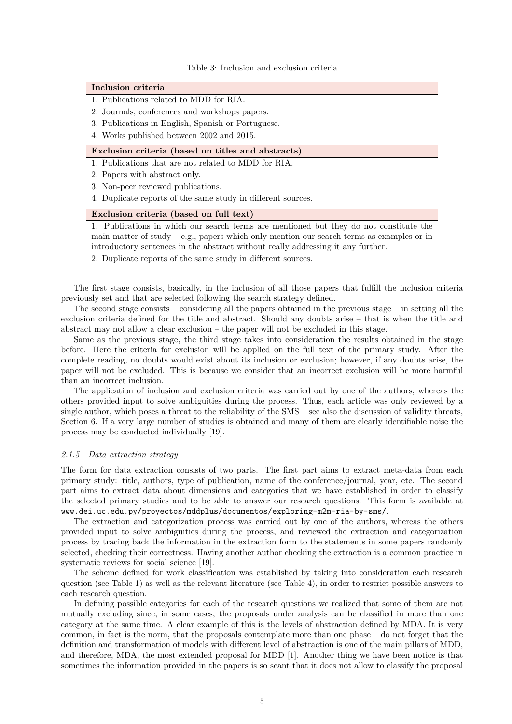#### Table 3: Inclusion and exclusion criteria

#### <span id="page-4-0"></span>**Inclusion criteria**

- 1. Publications related to MDD for RIA.
- 2. Journals, conferences and workshops papers.
- 3. Publications in English, Spanish or Portuguese.
- 4. Works published between 2002 and 2015.

## **Exclusion criteria (based on titles and abstracts)**

- 1. Publications that are not related to MDD for RIA.
- 2. Papers with abstract only.
- 3. Non-peer reviewed publications.
- 4. Duplicate reports of the same study in different sources.

## **Exclusion criteria (based on full text)**

1. Publications in which our search terms are mentioned but they do not constitute the main matter of study – e.g., papers which only mention our search terms as examples or in introductory sentences in the abstract without really addressing it any further.

2. Duplicate reports of the same study in different sources.

The first stage consists, basically, in the inclusion of all those papers that fulfill the inclusion criteria previously set and that are selected following the search strategy defined.

The second stage consists – considering all the papers obtained in the previous stage – in setting all the exclusion criteria defined for the title and abstract. Should any doubts arise – that is when the title and abstract may not allow a clear exclusion – the paper will not be excluded in this stage.

Same as the previous stage, the third stage takes into consideration the results obtained in the stage before. Here the criteria for exclusion will be applied on the full text of the primary study. After the complete reading, no doubts would exist about its inclusion or exclusion; however, if any doubts arise, the paper will not be excluded. This is because we consider that an incorrect exclusion will be more harmful than an incorrect inclusion.

The application of inclusion and exclusion criteria was carried out by one of the authors, whereas the others provided input to solve ambiguities during the process. Thus, each article was only reviewed by a single author, which poses a threat to the reliability of the SMS – see also the discussion of validity threats, Section [6.](#page-19-0) If a very large number of studies is obtained and many of them are clearly identifiable noise the process may be conducted individually [\[19\]](#page-23-2).

#### *2.1.5 Data extraction strategy*

The form for data extraction consists of two parts. The first part aims to extract meta-data from each primary study: title, authors, type of publication, name of the conference/journal, year, etc. The second part aims to extract data about dimensions and categories that we have established in order to classify the selected primary studies and to be able to answer our research questions. This form is available at <www.dei.uc.edu.py/proyectos/mddplus/documentos/exploring-m2m-ria-by-sms/>.

The extraction and categorization process was carried out by one of the authors, whereas the others provided input to solve ambiguities during the process, and reviewed the extraction and categorization process by tracing back the information in the extraction form to the statements in some papers randomly selected, checking their correctness. Having another author checking the extraction is a common practice in systematic reviews for social science [\[19\]](#page-23-2).

The scheme defined for work classification was established by taking into consideration each research question (see Table [1\)](#page-2-0) as well as the relevant literature (see Table [4\)](#page-5-0), in order to restrict possible answers to each research question.

In defining possible categories for each of the research questions we realized that some of them are not mutually excluding since, in some cases, the proposals under analysis can be classified in more than one category at the same time. A clear example of this is the levels of abstraction defined by MDA. It is very common, in fact is the norm, that the proposals contemplate more than one phase – do not forget that the definition and transformation of models with different level of abstraction is one of the main pillars of MDD, and therefore, MDA, the most extended proposal for MDD [\[1\]](#page-22-0). Another thing we have been notice is that sometimes the information provided in the papers is so scant that it does not allow to classify the proposal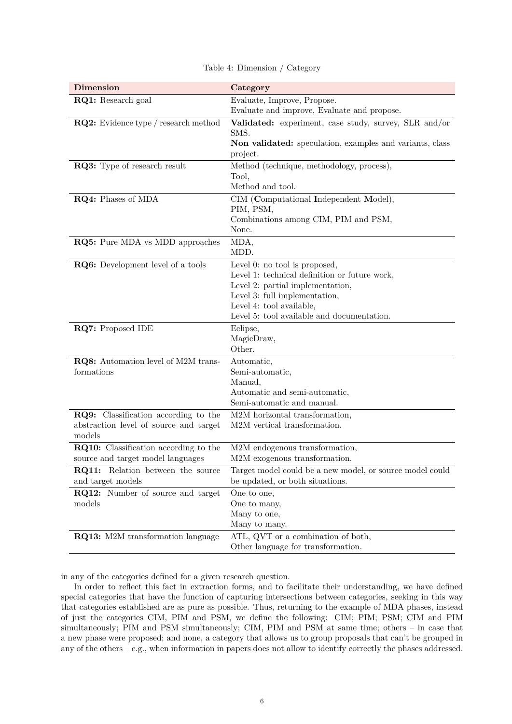<span id="page-5-0"></span>

| <b>Dimension</b>                                                                                | Category                                                                                                                                                                                                                      |  |  |
|-------------------------------------------------------------------------------------------------|-------------------------------------------------------------------------------------------------------------------------------------------------------------------------------------------------------------------------------|--|--|
| RQ1: Research goal                                                                              | Evaluate, Improve, Propose.                                                                                                                                                                                                   |  |  |
|                                                                                                 | Evaluate and improve, Evaluate and propose.                                                                                                                                                                                   |  |  |
| <b>RQ2:</b> Evidence type / research method                                                     | Validated: experiment, case study, survey, SLR and/or<br>SMS.<br>Non validated: speculation, examples and variants, class<br>project.                                                                                         |  |  |
| RQ3: Type of research result                                                                    | Method (technique, methodology, process),<br>Tool,<br>Method and tool.                                                                                                                                                        |  |  |
| RQ4: Phases of MDA                                                                              | CIM (Computational Independent Model),<br>PIM, PSM,<br>Combinations among CIM, PIM and PSM,<br>None.                                                                                                                          |  |  |
| RQ5: Pure MDA vs MDD approaches                                                                 | MDA,<br>MDD.                                                                                                                                                                                                                  |  |  |
| RQ6: Development level of a tools                                                               | Level 0: no tool is proposed,<br>Level 1: technical definition or future work,<br>Level 2: partial implementation,<br>Level 3: full implementation,<br>Level 4: tool available,<br>Level 5: tool available and documentation. |  |  |
| RQ7: Proposed IDE                                                                               | Eclipse,<br>MagicDraw,<br>Other.                                                                                                                                                                                              |  |  |
| RQ8: Automation level of M2M trans-<br>formations                                               | Automatic,<br>Semi-automatic,<br>Manual,<br>Automatic and semi-automatic,<br>Semi-automatic and manual.                                                                                                                       |  |  |
| <b>RQ9:</b> Classification according to the<br>abstraction level of source and target<br>models | M2M horizontal transformation,<br>M2M vertical transformation.                                                                                                                                                                |  |  |
| RQ10: Classification according to the<br>source and target model languages                      | M2M endogenous transformation,<br>M2M exogenous transformation.                                                                                                                                                               |  |  |
| RQ11: Relation between the source<br>and target models                                          | Target model could be a new model, or source model could<br>be updated, or both situations.                                                                                                                                   |  |  |
| RQ12: Number of source and target<br>models                                                     | One to one,<br>One to many,<br>Many to one,<br>Many to many.                                                                                                                                                                  |  |  |
| <b>RQ13:</b> M2M transformation language                                                        | ATL, QVT or a combination of both,<br>Other language for transformation.                                                                                                                                                      |  |  |

Table 4: Dimension / Category

in any of the categories defined for a given research question.

In order to reflect this fact in extraction forms, and to facilitate their understanding, we have defined special categories that have the function of capturing intersections between categories, seeking in this way that categories established are as pure as possible. Thus, returning to the example of MDA phases, instead of just the categories CIM, PIM and PSM, we define the following: CIM; PIM; PSM; CIM and PIM simultaneously; PIM and PSM simultaneously; CIM, PIM and PSM at same time; others – in case that a new phase were proposed; and none, a category that allows us to group proposals that can't be grouped in any of the others – e.g., when information in papers does not allow to identify correctly the phases addressed.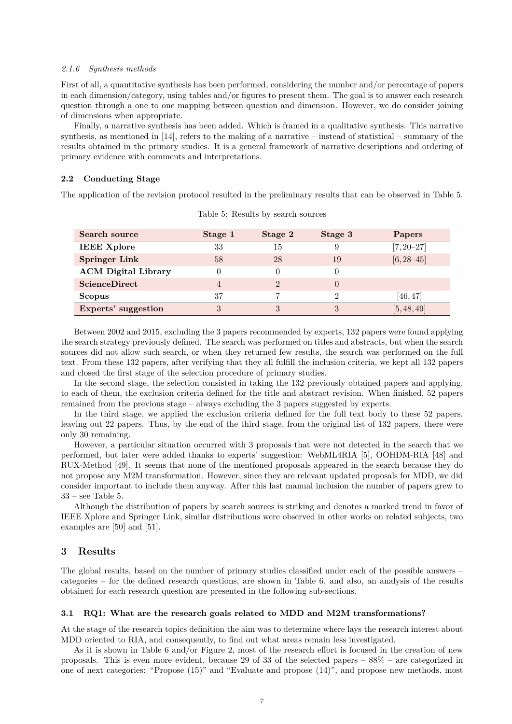#### *2.1.6 Synthesis methods*

First of all, a quantitative synthesis has been performed, considering the number and/or percentage of papers in each dimension/category, using tables and/or figures to present them. The goal is to answer each research question through a one to one mapping between question and dimension. However, we do consider joining of dimensions when appropriate.

Finally, a narrative synthesis has been added. Which is framed in a qualitative synthesis. This narrative synthesis, as mentioned in [\[14\]](#page-22-13), refers to the making of a narrative – instead of statistical – summary of the results obtained in the primary studies. It is a general framework of narrative descriptions and ordering of primary evidence with comments and interpretations.

## **2.2 Conducting Stage**

<span id="page-6-0"></span>The application of the revision protocol resulted in the preliminary results that can be observed in Table [5.](#page-6-0)

| Search source              | Stage 1  | Stage 2 | Stage 3      | Papers         |
|----------------------------|----------|---------|--------------|----------------|
| <b>IEEE Xplore</b>         | 33       | 15      | 9            | $[7, 20 - 27]$ |
| <b>Springer Link</b>       | 58       | 28      | 19           | $[6, 28 - 45]$ |
| <b>ACM Digital Library</b> | $\theta$ | $\cup$  | 0            |                |
| ScienceDirect              | 4        | $^{2}$  | $\mathbf{0}$ |                |
| <b>Scopus</b>              | 37       | 7       | 2            | [46, 47]       |
| Experts' suggestion        | 3        |         | 3            | [5, 48, 49]    |

Table 5: Results by search sources

Between 2002 and 2015, excluding the 3 papers recommended by experts, 132 papers were found applying the search strategy previously defined. The search was performed on titles and abstracts, but when the search sources did not allow such search, or when they returned few results, the search was performed on the full text. From these 132 papers, after verifying that they all fulfill the inclusion criteria, we kept all 132 papers and closed the first stage of the selection procedure of primary studies.

In the second stage, the selection consisted in taking the 132 previously obtained papers and applying, to each of them, the exclusion criteria defined for the title and abstract revision. When finished, 52 papers remained from the previous stage – always excluding the 3 papers suggested by experts.

In the third stage, we applied the exclusion criteria defined for the full text body to these 52 papers, leaving out 22 papers. Thus, by the end of the third stage, from the original list of 132 papers, there were only 30 remaining.

However, a particular situation occurred with 3 proposals that were not detected in the search that we performed, but later were added thanks to experts' suggestion: WebML4RIA [\[5\]](#page-22-4), OOHDM-RIA [\[48\]](#page-25-3) and RUX-Method [\[49\]](#page-25-4). It seems that none of the mentioned proposals appeared in the search because they do not propose any M2M transformation. However, since they are relevant updated proposals for MDD, we did consider important to include them anyway. After this last manual inclusion the number of papers grew to  $33$  – see Table [5.](#page-6-0)

Although the distribution of papers by search sources is striking and denotes a marked trend in favor of IEEE Xplore and Springer Link, similar distributions were observed in other works on related subjects, two examples are [\[50\]](#page-25-5) and [\[51\]](#page-25-6).

# **3 Results**

The global results, based on the number of primary studies classified under each of the possible answers – categories – for the defined research questions, are shown in Table [6,](#page-7-0) and also, an analysis of the results obtained for each research question are presented in the following sub-sections.

## **3.1 RQ1: What are the research goals related to MDD and M2M transformations?**

At the stage of the research topics definition the aim was to determine where lays the research interest about MDD oriented to RIA, and consequently, to find out what areas remain less investigated.

As it is shown in Table [6](#page-7-0) and/or Figure [2,](#page-8-0) most of the research effort is focused in the creation of new proposals. This is even more evident, because 29 of 33 of the selected papers – 88% – are categorized in one of next categories: "Propose (15)" and "Evaluate and propose (14)", and propose new methods, most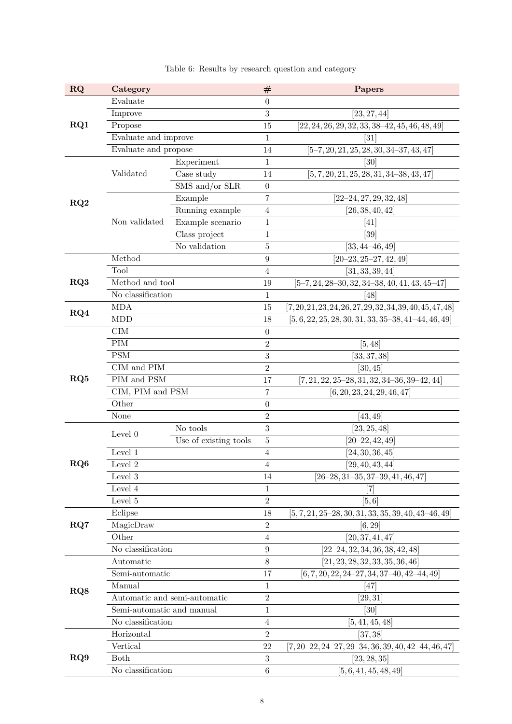<span id="page-7-0"></span>

| <b>RQ</b> | Category                     |                       | $^{\#}$          | Papers                                                 |
|-----------|------------------------------|-----------------------|------------------|--------------------------------------------------------|
|           | Evaluate                     |                       | 0                |                                                        |
|           | Improve                      |                       | 3                | [23, 27, 44]                                           |
| RQ1       | Propose                      |                       | 15               | $[22, 24, 26, 29, 32, 33, 38-42, 45, 46, 48, 49]$      |
|           | Evaluate and improve         |                       | 1                | $\left\lceil 31\right\rceil$                           |
|           | Evaluate and propose         |                       | 14               | $[5-7, 20, 21, 25, 28, 30, 34-37, 43, 47]$             |
|           |                              | Experiment            | 1                | $\left[30\right]$                                      |
|           | Validated                    | Case study            | 14               | $[5, 7, 20, 21, 25, 28, 31, 34-38, 43, 47]$            |
|           |                              | SMS and/or SLR        | $\boldsymbol{0}$ |                                                        |
| RQ2       |                              | Example               | $\!\!7$          | $[22 - 24, 27, 29, 32, 48]$                            |
|           |                              | Running example       | 4                | [26, 38, 40, 42]                                       |
|           | Non validated                | Example scenario      | $\mathbf{1}$     | [41]                                                   |
|           |                              | Class project         | $\mathbf{1}$     | [39]                                                   |
|           |                              | No validation         | $\overline{5}$   | $[33, 44 - 46, 49]$                                    |
|           | Method                       |                       | 9                | $[20 - 23, 25 - 27, 42, 49]$                           |
|           | Tool                         |                       | $\overline{4}$   | [31, 33, 39, 44]                                       |
| RQ3       | Method and tool              |                       | 19               | $[5-7, 24, 28-30, 32, 34-38, 40, 41, 43, 45-47]$       |
|           | No classification            |                       | $\mathbf 1$      | [48]                                                   |
| RQ4       | <b>MDA</b>                   |                       | 15               | $[7,20,21,23,24,26,27,29,32,34,39,40,45,47,48]$        |
|           | <b>MDD</b>                   |                       | 18               | $[5, 6, 22, 25, 28, 30, 31, 33, 35-38, 41-44, 46, 49]$ |
|           | CIM                          |                       | $\boldsymbol{0}$ |                                                        |
|           | $\rm PIM$                    |                       | $\,2$            | [5, 48]                                                |
|           | <b>PSM</b>                   |                       | $\sqrt{3}$       | [33, 37, 38]                                           |
|           | CIM and PIM                  |                       | $\overline{2}$   | [30, 45]                                               |
| RQ5       | PIM and PSM                  |                       | 17               | $[7, 21, 22, 25-28, 31, 32, 34-36, 39-42, 44]$         |
|           | CIM, PIM and PSM             |                       | 7                | [6, 20, 23, 24, 29, 46, 47]                            |
|           | Other                        |                       | $\boldsymbol{0}$ |                                                        |
|           | None                         |                       | $\,2$            | [43, 49]                                               |
|           | Level 0                      | No tools              | 3                | [23, 25, 48]                                           |
|           |                              | Use of existing tools | $\bf 5$          | $[20 - 22, 42, 49]$                                    |
|           | Level 1                      |                       | 4                | $\left[24,30,36,45\right]$                             |
| RQ6       | Level 2                      |                       | 4                | [29, 40, 43, 44]                                       |
|           | Level 3                      |                       | 14               | $[26-28, 31-35, 37-39, 41, 46, 47]$                    |
|           | Level 4                      |                       | 1                | 17                                                     |
|           | Level $5\,$                  |                       | $\overline{2}$   | [5,6]                                                  |
|           | Eclipse                      |                       | 18               | $[5, 7, 21, 25-28, 30, 31, 33, 35, 39, 40, 43-46, 49]$ |
| RQ7       | MagicDraw                    |                       | $\overline{2}$   | [6, 29]                                                |
|           | Other                        |                       | 4                | [20, 37, 41, 47]                                       |
|           | No classification            |                       | $\boldsymbol{9}$ | [22–24, 32, 34, 36, 38, 42, 48]                        |
|           | Automatic                    |                       | 8                | [21, 23, 28, 32, 33, 35, 36, 46]                       |
|           | Semi-automatic               |                       | 17               | $[6, 7, 20, 22, 24-27, 34, 37-40, 42-44, 49]$          |
| RQ8       | Manual                       |                       | 1                | [47]                                                   |
|           | Automatic and semi-automatic |                       | $\overline{2}$   | [29,31]                                                |
|           | Semi-automatic and manual    |                       | $\mathbf 1$      | [30]                                                   |
|           | No classification            |                       | 4                | [5, 41, 45, 48]                                        |
|           | Horizontal                   |                       | $\overline{2}$   | [37, 38]                                               |
|           | Vertical                     |                       | 22               | $[7, 20-22, 24-27, 29-34, 36, 39, 40, 42-44, 46, 47]$  |
| RQ9       | Both                         |                       | 3                | $\left[23, 28, 35\right]$                              |
|           | No classification            |                       | $\,6\,$          | [5, 6, 41, 45, 48, 49]                                 |

Table 6: Results by research question and category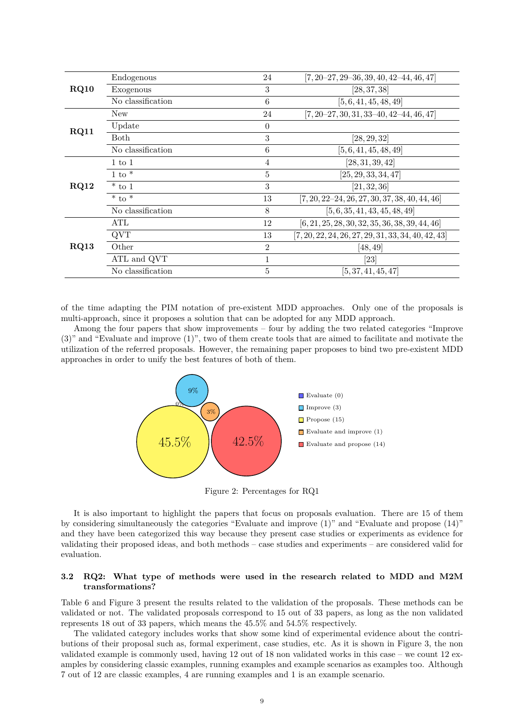|      | Endogenous        | 24             | $[7, 20-27, 29-36, 39, 40, 42-44, 46, 47]$            |
|------|-------------------|----------------|-------------------------------------------------------|
| RQ10 | Exogenous         | $\sqrt{3}$     | [28, 37, 38]                                          |
|      | No classification | 6              | [5, 6, 41, 45, 48, 49]                                |
|      | New               | 24             | $[7, 20-27, 30, 31, 33-40, 42-44, 46, 47]$            |
| RQ11 | Update            | $\theta$       |                                                       |
|      | <b>Both</b>       | 3              | [28, 29, 32]                                          |
|      | No classification | 6              | [5, 6, 41, 45, 48, 49]                                |
|      | $1 \text{ to } 1$ | 4              | [28, 31, 39, 42]                                      |
|      | $1 \text{ to }^*$ | $\bf 5$        | [25, 29, 33, 34, 47]                                  |
| RQ12 | $*$ to 1          | 3              | [21, 32, 36]                                          |
|      | $*$ to $*$        | 13             | $[7, 20, 22-24, 26, 27, 30, 37, 38, 40, 44, 46]$      |
|      | No classification | 8              | [5, 6, 35, 41, 43, 45, 48, 49]                        |
|      | ATL               | 12             | $[6, 21, 25, 28, 30, 32, 35, 36, 38, 39, 44, 46]$     |
|      | QVT               | 13             | $[7, 20, 22, 24, 26, 27, 29, 31, 33, 34, 40, 42, 43]$ |
| RQ13 | Other             | $\overline{2}$ | [48, 49]                                              |
|      | ATL and QVT       | 1              | $\left[ 23\right]$                                    |
|      | No classification | 5              | [5, 37, 41, 45, 47]                                   |

of the time adapting the PIM notation of pre-existent MDD approaches. Only one of the proposals is multi-approach, since it proposes a solution that can be adopted for any MDD approach.

<span id="page-8-0"></span>Among the four papers that show improvements – four by adding the two related categories "Improve (3)" and "Evaluate and improve (1)", two of them create tools that are aimed to facilitate and motivate the utilization of the referred proposals. However, the remaining paper proposes to bind two pre-existent MDD approaches in order to unify the best features of both of them.



Figure 2: Percentages for RQ1

It is also important to highlight the papers that focus on proposals evaluation. There are 15 of them by considering simultaneously the categories "Evaluate and improve (1)" and "Evaluate and propose (14)" and they have been categorized this way because they present case studies or experiments as evidence for validating their proposed ideas, and both methods – case studies and experiments – are considered valid for evaluation.

## **3.2 RQ2: What type of methods were used in the research related to MDD and M2M transformations?**

Table [6](#page-7-0) and Figure [3](#page-9-0) present the results related to the validation of the proposals. These methods can be validated or not. The validated proposals correspond to 15 out of 33 papers, as long as the non validated represents 18 out of 33 papers, which means the 45.5% and 54.5% respectively.

The validated category includes works that show some kind of experimental evidence about the contributions of their proposal such as, formal experiment, case studies, etc. As it is shown in Figure [3,](#page-9-0) the non validated example is commonly used, having 12 out of 18 non validated works in this case – we count 12 examples by considering classic examples, running examples and example scenarios as examples too. Although 7 out of 12 are classic examples, 4 are running examples and 1 is an example scenario.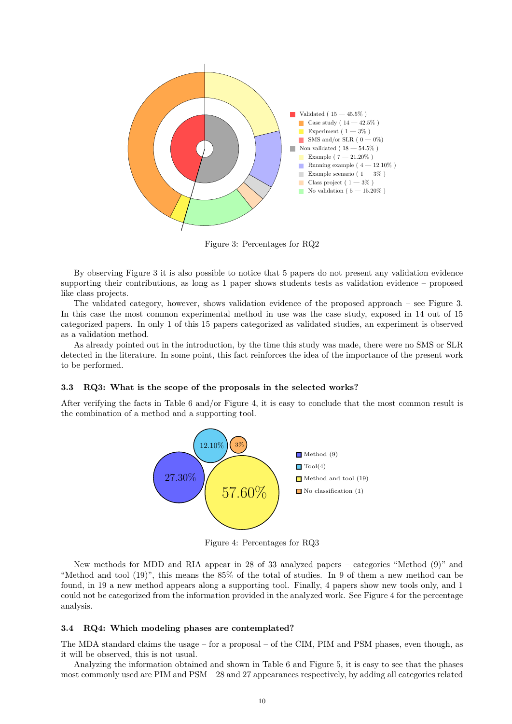<span id="page-9-0"></span>

Figure 3: Percentages for RQ2

By observing Figure [3](#page-9-0) it is also possible to notice that 5 papers do not present any validation evidence supporting their contributions, as long as 1 paper shows students tests as validation evidence – proposed like class projects.

The validated category, however, shows validation evidence of the proposed approach – see Figure [3.](#page-9-0) In this case the most common experimental method in use was the case study, exposed in 14 out of 15 categorized papers. In only 1 of this 15 papers categorized as validated studies, an experiment is observed as a validation method.

As already pointed out in the introduction, by the time this study was made, there were no SMS or SLR detected in the literature. In some point, this fact reinforces the idea of the importance of the present work to be performed.

#### **3.3 RQ3: What is the scope of the proposals in the selected works?**

<span id="page-9-1"></span>After verifying the facts in Table [6](#page-7-0) and/or Figure [4,](#page-9-1) it is easy to conclude that the most common result is the combination of a method and a supporting tool.



Figure 4: Percentages for RQ3

New methods for MDD and RIA appear in 28 of 33 analyzed papers – categories "Method (9)" and "Method and tool (19)", this means the 85% of the total of studies. In 9 of them a new method can be found, in 19 a new method appears along a supporting tool. Finally, 4 papers show new tools only, and 1 could not be categorized from the information provided in the analyzed work. See Figure [4](#page-9-1) for the percentage analysis.

## **3.4 RQ4: Which modeling phases are contemplated?**

The MDA standard claims the usage – for a proposal – of the CIM, PIM and PSM phases, even though, as it will be observed, this is not usual.

Analyzing the information obtained and shown in Table [6](#page-7-0) and Figure [5,](#page-10-0) it is easy to see that the phases most commonly used are PIM and PSM – 28 and 27 appearances respectively, by adding all categories related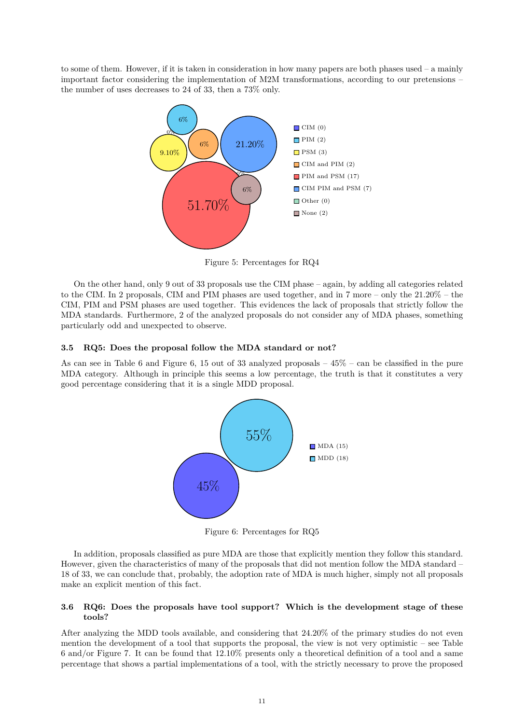<span id="page-10-0"></span>to some of them. However, if it is taken in consideration in how many papers are both phases used – a mainly important factor considering the implementation of M2M transformations, according to our pretensions – the number of uses decreases to 24 of 33, then a 73% only.



Figure 5: Percentages for RQ4

On the other hand, only 9 out of 33 proposals use the CIM phase – again, by adding all categories related to the CIM. In 2 proposals, CIM and PIM phases are used together, and in 7 more – only the 21.20% – the CIM, PIM and PSM phases are used together. This evidences the lack of proposals that strictly follow the MDA standards. Furthermore, 2 of the analyzed proposals do not consider any of MDA phases, something particularly odd and unexpected to observe.

## **3.5 RQ5: Does the proposal follow the MDA standard or not?**

<span id="page-10-1"></span>As can see in Table [6](#page-7-0) and Figure [6,](#page-10-1) 15 out of 33 analyzed proposals  $-45\%$  – can be classified in the pure MDA category. Although in principle this seems a low percentage, the truth is that it constitutes a very good percentage considering that it is a single MDD proposal.



Figure 6: Percentages for RQ5

In addition, proposals classified as pure MDA are those that explicitly mention they follow this standard. However, given the characteristics of many of the proposals that did not mention follow the MDA standard – 18 of 33, we can conclude that, probably, the adoption rate of MDA is much higher, simply not all proposals make an explicit mention of this fact.

## **3.6 RQ6: Does the proposals have tool support? Which is the development stage of these tools?**

After analyzing the MDD tools available, and considering that 24.20% of the primary studies do not even mention the development of a tool that supports the proposal, the view is not very optimistic – see Table [6](#page-7-0) and/or Figure [7.](#page-11-0) It can be found that 12.10% presents only a theoretical definition of a tool and a same percentage that shows a partial implementations of a tool, with the strictly necessary to prove the proposed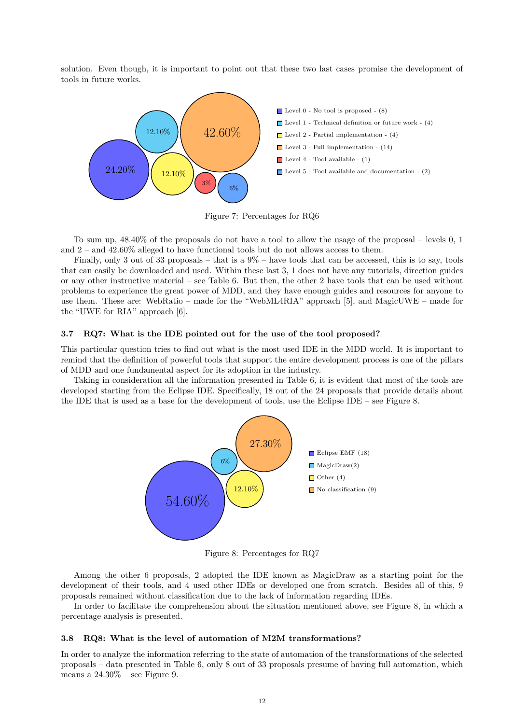solution. Even though, it is important to point out that these two last cases promise the development of tools in future works.

<span id="page-11-0"></span>

Figure 7: Percentages for RQ6

To sum up, 48.40% of the proposals do not have a tool to allow the usage of the proposal – levels 0, 1 and 2 – and 42.60% alleged to have functional tools but do not allows access to them.

Finally, only 3 out of 33 proposals – that is a  $9\%$  – have tools that can be accessed, this is to say, tools that can easily be downloaded and used. Within these last 3, 1 does not have any tutorials, direction guides or any other instructive material – see Table [6.](#page-7-0) But then, the other 2 have tools that can be used without problems to experience the great power of MDD, and they have enough guides and resources for anyone to use them. These are: WebRatio – made for the "WebML4RIA" approach [\[5\]](#page-22-4), and MagicUWE – made for the "UWE for RIA" approach [\[6\]](#page-22-5).

## **3.7 RQ7: What is the IDE pointed out for the use of the tool proposed?**

This particular question tries to find out what is the most used IDE in the MDD world. It is important to remind that the definition of powerful tools that support the entire development process is one of the pillars of MDD and one fundamental aspect for its adoption in the industry.

<span id="page-11-1"></span>Taking in consideration all the information presented in Table [6,](#page-7-0) it is evident that most of the tools are developed starting from the Eclipse IDE. Specifically, 18 out of the 24 proposals that provide details about the IDE that is used as a base for the development of tools, use the Eclipse IDE – see Figure [8.](#page-11-1)



Figure 8: Percentages for RQ7

Among the other 6 proposals, 2 adopted the IDE known as MagicDraw as a starting point for the development of their tools, and 4 used other IDEs or developed one from scratch. Besides all of this, 9 proposals remained without classification due to the lack of information regarding IDEs.

In order to facilitate the comprehension about the situation mentioned above, see Figure [8,](#page-11-1) in which a percentage analysis is presented.

## **3.8 RQ8: What is the level of automation of M2M transformations?**

In order to analyze the information referring to the state of automation of the transformations of the selected proposals – data presented in Table [6,](#page-7-0) only 8 out of 33 proposals presume of having full automation, which means a  $24.30\%$  – see Figure [9.](#page-12-0)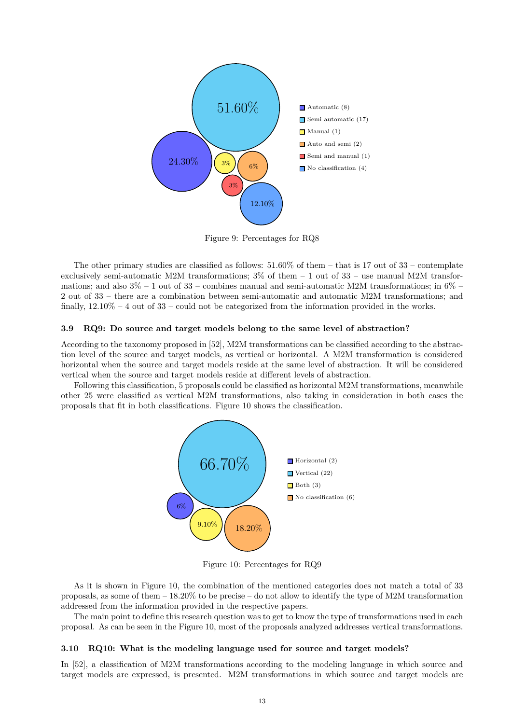<span id="page-12-0"></span>

Figure 9: Percentages for RQ8

The other primary studies are classified as follows:  $51.60\%$  of them – that is 17 out of 33 – contemplate exclusively semi-automatic M2M transformations;  $3\%$  of them  $-1$  out of  $33$  – use manual M2M transformations; and also  $3\% - 1$  out of  $33$  – combines manual and semi-automatic M2M transformations; in  $6\%$  – 2 out of 33 – there are a combination between semi-automatic and automatic M2M transformations; and finally,  $12.10\% - 4$  out of  $33$  – could not be categorized from the information provided in the works.

## **3.9 RQ9: Do source and target models belong to the same level of abstraction?**

According to the taxonomy proposed in [\[52\]](#page-25-9), M2M transformations can be classified according to the abstraction level of the source and target models, as vertical or horizontal. A M2M transformation is considered horizontal when the source and target models reside at the same level of abstraction. It will be considered vertical when the source and target models reside at different levels of abstraction.

<span id="page-12-1"></span>Following this classification, 5 proposals could be classified as horizontal M2M transformations, meanwhile other 25 were classified as vertical M2M transformations, also taking in consideration in both cases the proposals that fit in both classifications. Figure [10](#page-12-1) shows the classification.



Figure 10: Percentages for RQ9

As it is shown in Figure [10,](#page-12-1) the combination of the mentioned categories does not match a total of 33 proposals, as some of them – 18.20% to be precise – do not allow to identify the type of M2M transformation addressed from the information provided in the respective papers.

The main point to define this research question was to get to know the type of transformations used in each proposal. As can be seen in the Figure [10,](#page-12-1) most of the proposals analyzed addresses vertical transformations.

#### **3.10 RQ10: What is the modeling language used for source and target models?**

In [\[52\]](#page-25-9), a classification of M2M transformations according to the modeling language in which source and target models are expressed, is presented. M2M transformations in which source and target models are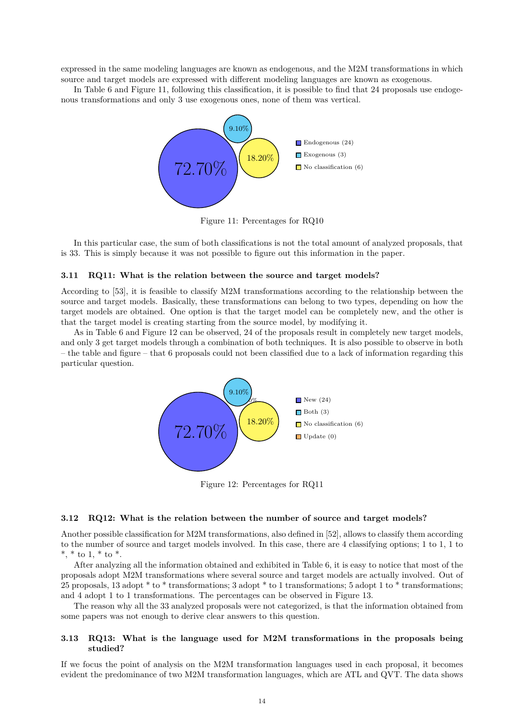expressed in the same modeling languages are known as endogenous, and the M2M transformations in which source and target models are expressed with different modeling languages are known as exogenous.

<span id="page-13-0"></span>In Table [6](#page-7-0) and Figure [11,](#page-13-0) following this classification, it is possible to find that 24 proposals use endogenous transformations and only 3 use exogenous ones, none of them was vertical.



Figure 11: Percentages for RQ10

In this particular case, the sum of both classifications is not the total amount of analyzed proposals, that is 33. This is simply because it was not possible to figure out this information in the paper.

## **3.11 RQ11: What is the relation between the source and target models?**

According to [\[53\]](#page-25-10), it is feasible to classify M2M transformations according to the relationship between the source and target models. Basically, these transformations can belong to two types, depending on how the target models are obtained. One option is that the target model can be completely new, and the other is that the target model is creating starting from the source model, by modifying it.

<span id="page-13-1"></span>As in Table [6](#page-7-0) and Figure [12](#page-13-1) can be observed, 24 of the proposals result in completely new target models, and only 3 get target models through a combination of both techniques. It is also possible to observe in both – the table and figure – that 6 proposals could not been classified due to a lack of information regarding this particular question.



Figure 12: Percentages for RQ11

#### **3.12 RQ12: What is the relation between the number of source and target models?**

Another possible classification for M2M transformations, also defined in [\[52\]](#page-25-9), allows to classify them according to the number of source and target models involved. In this case, there are 4 classifying options; 1 to 1, 1 to \*, \* to 1, \* to \*.

After analyzing all the information obtained and exhibited in Table [6,](#page-7-0) it is easy to notice that most of the proposals adopt M2M transformations where several source and target models are actually involved. Out of 25 proposals, 13 adopt \* to \* transformations; 3 adopt \* to 1 transformations; 5 adopt 1 to \* transformations; and 4 adopt 1 to 1 transformations. The percentages can be observed in Figure [13.](#page-14-0)

The reason why all the 33 analyzed proposals were not categorized, is that the information obtained from some papers was not enough to derive clear answers to this question.

## **3.13 RQ13: What is the language used for M2M transformations in the proposals being studied?**

If we focus the point of analysis on the M2M transformation languages used in each proposal, it becomes evident the predominance of two M2M transformation languages, which are ATL and QVT. The data shows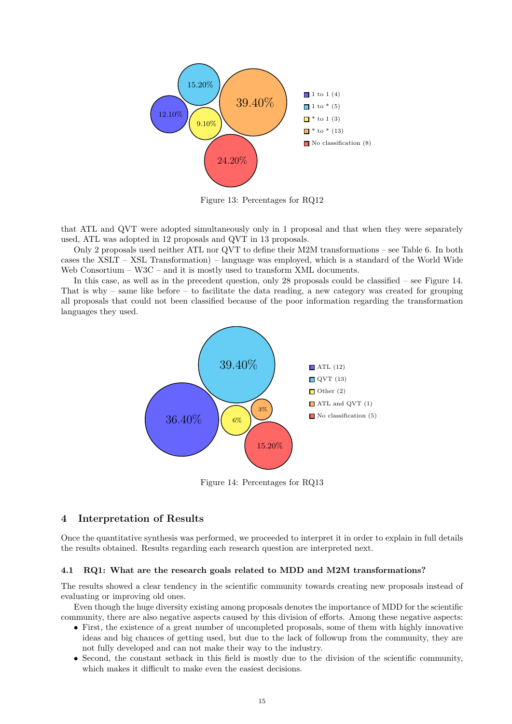<span id="page-14-0"></span>

Figure 13: Percentages for RQ12

that ATL and QVT were adopted simultaneously only in 1 proposal and that when they were separately used, ATL was adopted in 12 proposals and QVT in 13 proposals.

Only 2 proposals used neither ATL nor QVT to define their M2M transformations – see Table [6.](#page-7-0) In both cases the XSLT – XSL Transformation) – language was employed, which is a standard of the World Wide Web Consortium – W3C – and it is mostly used to transform XML documents.

<span id="page-14-1"></span>In this case, as well as in the precedent question, only 28 proposals could be classified – see Figure [14.](#page-14-1) That is why – same like before – to facilitate the data reading, a new category was created for grouping all proposals that could not been classified because of the poor information regarding the transformation languages they used.



Figure 14: Percentages for RQ13

# **4 Interpretation of Results**

Once the quantitative synthesis was performed, we proceeded to interpret it in order to explain in full details the results obtained. Results regarding each research question are interpreted next.

#### **4.1 RQ1: What are the research goals related to MDD and M2M transformations?**

The results showed a clear tendency in the scientific community towards creating new proposals instead of evaluating or improving old ones.

Even though the huge diversity existing among proposals denotes the importance of MDD for the scientific community, there are also negative aspects caused by this division of efforts. Among these negative aspects:

- First, the existence of a great number of uncompleted proposals, some of them with highly innovative ideas and big chances of getting used, but due to the lack of followup from the community, they are not fully developed and can not make their way to the industry.
- Second, the constant setback in this field is mostly due to the division of the scientific community, which makes it difficult to make even the easiest decisions.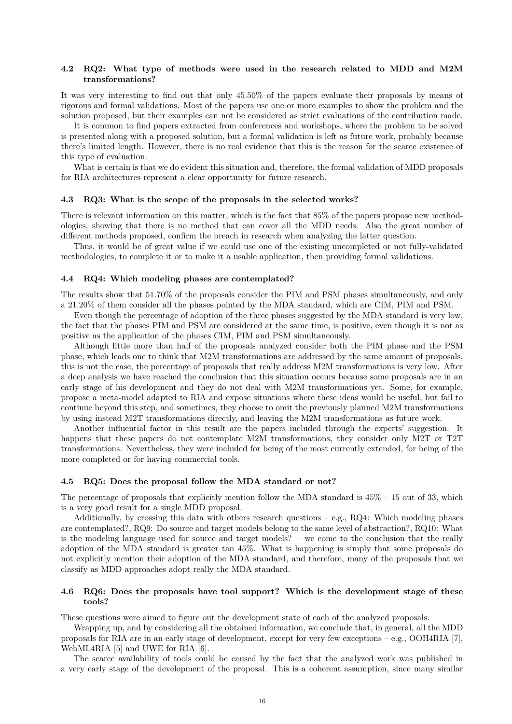## **4.2 RQ2: What type of methods were used in the research related to MDD and M2M transformations?**

It was very interesting to find out that only 45.50% of the papers evaluate their proposals by means of rigorous and formal validations. Most of the papers use one or more examples to show the problem and the solution proposed, but their examples can not be considered as strict evaluations of the contribution made.

It is common to find papers extracted from conferences and workshops, where the problem to be solved is presented along with a proposed solution, but a formal validation is left as future work, probably because there's limited length. However, there is no real evidence that this is the reason for the scarce existence of this type of evaluation.

What is certain is that we do evident this situation and, therefore, the formal validation of MDD proposals for RIA architectures represent a clear opportunity for future research.

#### **4.3 RQ3: What is the scope of the proposals in the selected works?**

There is relevant information on this matter, which is the fact that 85% of the papers propose new methodologies, showing that there is no method that can cover all the MDD needs. Also the great number of different methods proposed, confirm the breach in research when analyzing the latter question.

Thus, it would be of great value if we could use one of the existing uncompleted or not fully-validated methodologies, to complete it or to make it a usable application, then providing formal validations.

#### **4.4 RQ4: Which modeling phases are contemplated?**

The results show that 51.70% of the proposals consider the PIM and PSM phases simultaneously, and only a 21.20% of them consider all the phases pointed by the MDA standard, which are CIM, PIM and PSM.

Even though the percentage of adoption of the three phases suggested by the MDA standard is very low, the fact that the phases PIM and PSM are considered at the same time, is positive, even though it is not as positive as the application of the phases CIM, PIM and PSM simultaneously.

Although little more than half of the proposals analyzed consider both the PIM phase and the PSM phase, which leads one to think that M2M transformations are addressed by the same amount of proposals, this is not the case, the percentage of proposals that really address M2M transformations is very low. After a deep analysis we have reached the conclusion that this situation occurs because some proposals are in an early stage of his development and they do not deal with M2M transformations yet. Some, for example, propose a meta-model adapted to RIA and expose situations where these ideas would be useful, but fail to continue beyond this step, and sometimes, they choose to omit the previously planned M2M transformations by using instead M2T transformations directly, and leaving the M2M transformations as future work.

Another influential factor in this result are the papers included through the experts' suggestion. It happens that these papers do not contemplate M2M transformations, they consider only M2T or T2T transformations. Nevertheless, they were included for being of the most currently extended, for being of the more completed or for having commercial tools.

#### **4.5 RQ5: Does the proposal follow the MDA standard or not?**

The percentage of proposals that explicitly mention follow the MDA standard is  $45\% - 15$  out of 33, which is a very good result for a single MDD proposal.

Additionally, by crossing this data with others research questions – e.g.,  $RQ4$ : Which modeling phases are contemplated?, RQ9: Do source and target models belong to the same level of abstraction?, RQ10: What is the modeling language used for source and target models? – we come to the conclusion that the really adoption of the MDA standard is greater tan 45%. What is happening is simply that some proposals do not explicitly mention their adoption of the MDA standard, and therefore, many of the proposals that we classify as MDD approaches adopt really the MDA standard.

## **4.6 RQ6: Does the proposals have tool support? Which is the development stage of these tools?**

These questions were aimed to figure out the development state of each of the analyzed proposals.

Wrapping up, and by considering all the obtained information, we conclude that, in general, all the MDD proposals for RIA are in an early stage of development, except for very few exceptions – e.g., OOH4RIA [\[7\]](#page-22-6), WebML4RIA [\[5\]](#page-22-4) and UWE for RIA [\[6\]](#page-22-5).

The scarce availability of tools could be caused by the fact that the analyzed work was published in a very early stage of the development of the proposal. This is a coherent assumption, since many similar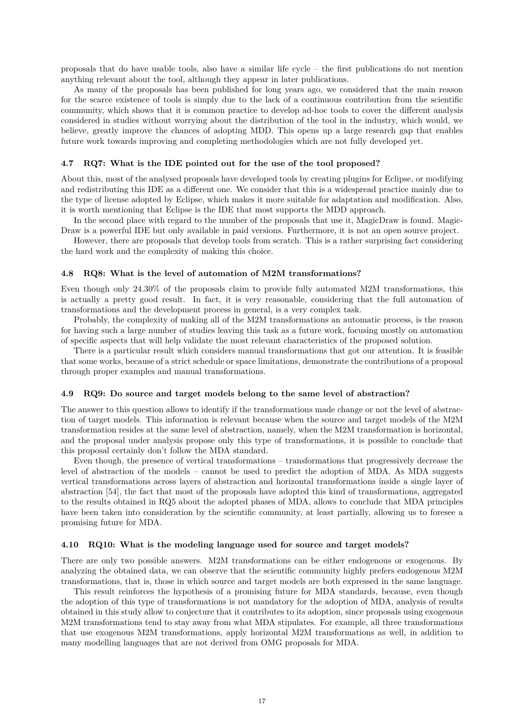proposals that do have usable tools, also have a similar life cycle – the first publications do not mention anything relevant about the tool, although they appear in later publications.

As many of the proposals has been published for long years ago, we considered that the main reason for the scarce existence of tools is simply due to the lack of a continuous contribution from the scientific community, which shows that it is common practice to develop ad-hoc tools to cover the different analysis considered in studies without worrying about the distribution of the tool in the industry, which would, we believe, greatly improve the chances of adopting MDD. This opens up a large research gap that enables future work towards improving and completing methodologies which are not fully developed yet.

### **4.7 RQ7: What is the IDE pointed out for the use of the tool proposed?**

About this, most of the analysed proposals have developed tools by creating plugins for Eclipse, or modifying and redistributing this IDE as a different one. We consider that this is a widespread practice mainly due to the type of license adopted by Eclipse, which makes it more suitable for adaptation and modification. Also, it is worth mentioning that Eclipse is the IDE that most supports the MDD approach.

In the second place with regard to the number of the proposals that use it, MagicDraw is found. Magic-Draw is a powerful IDE but only available in paid versions. Furthermore, it is not an open source project.

However, there are proposals that develop tools from scratch. This is a rather surprising fact considering the hard work and the complexity of making this choice.

#### **4.8 RQ8: What is the level of automation of M2M transformations?**

Even though only 24.30% of the proposals claim to provide fully automated M2M transformations, this is actually a pretty good result. In fact, it is very reasonable, considering that the full automation of transformations and the development process in general, is a very complex task.

Probably, the complexity of making all of the M2M transformations an automatic process, is the reason for having such a large number of studies leaving this task as a future work, focusing mostly on automation of specific aspects that will help validate the most relevant characteristics of the proposed solution.

There is a particular result which considers manual transformations that got our attention. It is feasible that some works, because of a strict schedule or space limitations, demonstrate the contributions of a proposal through proper examples and manual transformations.

#### **4.9 RQ9: Do source and target models belong to the same level of abstraction?**

The answer to this question allows to identify if the transformations made change or not the level of abstraction of target models. This information is relevant because when the source and target models of the M2M transformation resides at the same level of abstraction, namely, when the M2M transformation is horizontal, and the proposal under analysis propose only this type of transformations, it is possible to conclude that this proposal certainly don't follow the MDA standard.

Even though, the presence of vertical transformations – transformations that progressively decrease the level of abstraction of the models – cannot be used to predict the adoption of MDA. As MDA suggests vertical transformations across layers of abstraction and horizontal transformations inside a single layer of abstraction [\[54\]](#page-25-11), the fact that most of the proposals have adopted this kind of transformations, aggregated to the results obtained in RQ5 about the adopted phases of MDA, allows to conclude that MDA principles have been taken into consideration by the scientific community, at least partially, allowing us to foresee a promising future for MDA.

#### **4.10 RQ10: What is the modeling language used for source and target models?**

There are only two possible answers. M2M transformations can be either endogenous or exogenous. By analyzing the obtained data, we can observe that the scientific community highly prefers endogenous M2M transformations, that is, those in which source and target models are both expressed in the same language.

This result reinforces the hypothesis of a promising future for MDA standards, because, even though the adoption of this type of transformations is not mandatory for the adoption of MDA, analysis of results obtained in this study allow to conjecture that it contributes to its adoption, since proposals using exogenous M2M transformations tend to stay away from what MDA stipulates. For example, all three transformations that use exogenous M2M transformations, apply horizontal M2M transformations as well, in addition to many modelling languages that are not derived from OMG proposals for MDA.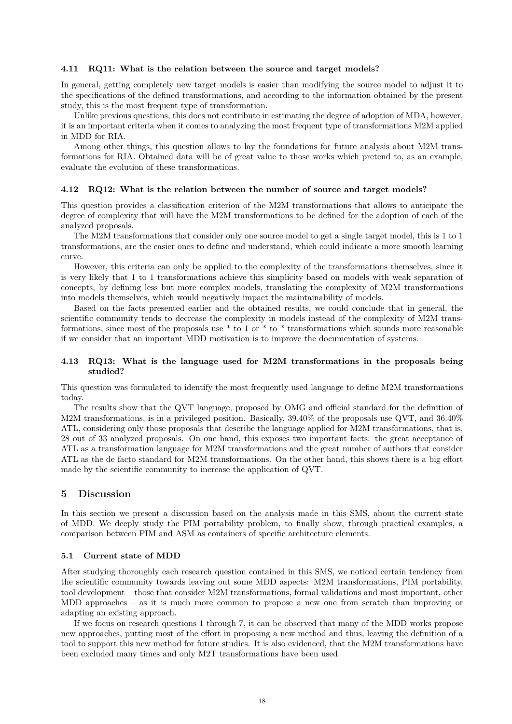## **4.11 RQ11: What is the relation between the source and target models?**

In general, getting completely new target models is easier than modifying the source model to adjust it to the specifications of the defined transformations, and according to the information obtained by the present study, this is the most frequent type of transformation.

Unlike previous questions, this does not contribute in estimating the degree of adoption of MDA, however, it is an important criteria when it comes to analyzing the most frequent type of transformations M2M applied in MDD for RIA.

Among other things, this question allows to lay the foundations for future analysis about M2M transformations for RIA. Obtained data will be of great value to those works which pretend to, as an example, evaluate the evolution of these transformations.

## **4.12 RQ12: What is the relation between the number of source and target models?**

This question provides a classification criterion of the M2M transformations that allows to anticipate the degree of complexity that will have the M2M transformations to be defined for the adoption of each of the analyzed proposals.

The M2M transformations that consider only one source model to get a single target model, this is 1 to 1 transformations, are the easier ones to define and understand, which could indicate a more smooth learning curve.

However, this criteria can only be applied to the complexity of the transformations themselves, since it is very likely that 1 to 1 transformations achieve this simplicity based on models with weak separation of concepts, by defining less but more complex models, translating the complexity of M2M transformations into models themselves, which would negatively impact the maintainability of models.

Based on the facts presented earlier and the obtained results, we could conclude that in general, the scientific community tends to decrease the complexity in models instead of the complexity of M2M transformations, since most of the proposals use \* to 1 or \* to \* transformations which sounds more reasonable if we consider that an important MDD motivation is to improve the documentation of systems.

## **4.13 RQ13: What is the language used for M2M transformations in the proposals being studied?**

This question was formulated to identify the most frequently used language to define M2M transformations today.

The results show that the QVT language, proposed by OMG and official standard for the definition of M2M transformations, is in a privileged position. Basically, 39.40% of the proposals use QVT, and 36.40% ATL, considering only those proposals that describe the language applied for M2M transformations, that is, 28 out of 33 analyzed proposals. On one hand, this exposes two important facts: the great acceptance of ATL as a transformation language for M2M transformations and the great number of authors that consider ATL as the de facto standard for M2M transformations. On the other hand, this shows there is a big effort made by the scientific community to increase the application of QVT.

## **5 Discussion**

In this section we present a discussion based on the analysis made in this SMS, about the current state of MDD. We deeply study the PIM portability problem, to finally show, through practical examples, a comparison between PIM and ASM as containers of specific architecture elements.

#### **5.1 Current state of MDD**

After studying thoroughly each research question contained in this SMS, we noticed certain tendency from the scientific community towards leaving out some MDD aspects: M2M transformations, PIM portability, tool development – those that consider M2M transformations, formal validations and most important, other MDD approaches – as it is much more common to propose a new one from scratch than improving or adapting an existing approach.

If we focus on research questions 1 through 7, it can be observed that many of the MDD works propose new approaches, putting most of the effort in proposing a new method and thus, leaving the definition of a tool to support this new method for future studies. It is also evidenced, that the M2M transformations have been excluded many times and only M2T transformations have been used.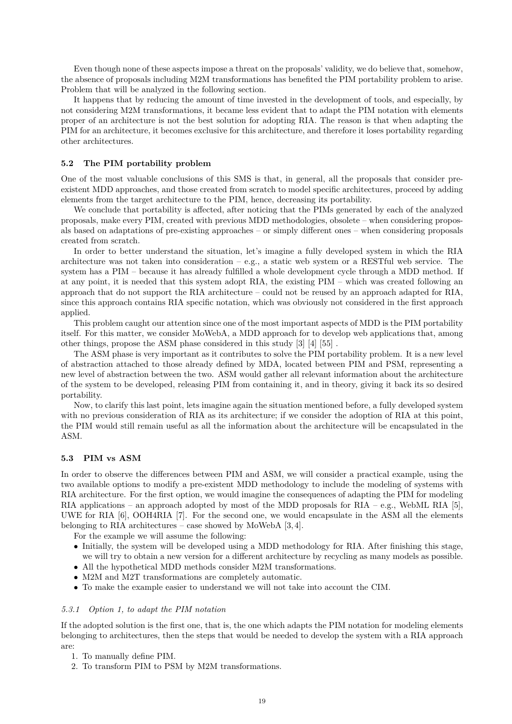Even though none of these aspects impose a threat on the proposals' validity, we do believe that, somehow, the absence of proposals including M2M transformations has benefited the PIM portability problem to arise. Problem that will be analyzed in the following section.

It happens that by reducing the amount of time invested in the development of tools, and especially, by not considering M2M transformations, it became less evident that to adapt the PIM notation with elements proper of an architecture is not the best solution for adopting RIA. The reason is that when adapting the PIM for an architecture, it becomes exclusive for this architecture, and therefore it loses portability regarding other architectures.

## **5.2 The PIM portability problem**

One of the most valuable conclusions of this SMS is that, in general, all the proposals that consider preexistent MDD approaches, and those created from scratch to model specific architectures, proceed by adding elements from the target architecture to the PIM, hence, decreasing its portability.

We conclude that portability is affected, after noticing that the PIMs generated by each of the analyzed proposals, make every PIM, created with previous MDD methodologies, obsolete – when considering proposals based on adaptations of pre-existing approaches – or simply different ones – when considering proposals created from scratch.

In order to better understand the situation, let's imagine a fully developed system in which the RIA architecture was not taken into consideration – e.g., a static web system or a RESTful web service. The system has a PIM – because it has already fulfilled a whole development cycle through a MDD method. If at any point, it is needed that this system adopt RIA, the existing PIM – which was created following an approach that do not support the RIA architecture – could not be reused by an approach adapted for RIA, since this approach contains RIA specific notation, which was obviously not considered in the first approach applied.

This problem caught our attention since one of the most important aspects of MDD is the PIM portability itself. For this matter, we consider MoWebA, a MDD approach for to develop web applications that, among other things, propose the ASM phase considered in this study [\[3\]](#page-22-2) [\[4\]](#page-22-3) [\[55\]](#page-25-12) .

The ASM phase is very important as it contributes to solve the PIM portability problem. It is a new level of abstraction attached to those already defined by MDA, located between PIM and PSM, representing a new level of abstraction between the two. ASM would gather all relevant information about the architecture of the system to be developed, releasing PIM from containing it, and in theory, giving it back its so desired portability.

Now, to clarify this last point, lets imagine again the situation mentioned before, a fully developed system with no previous consideration of RIA as its architecture; if we consider the adoption of RIA at this point, the PIM would still remain useful as all the information about the architecture will be encapsulated in the ASM.

## **5.3 PIM vs ASM**

In order to observe the differences between PIM and ASM, we will consider a practical example, using the two available options to modify a pre-existent MDD methodology to include the modeling of systems with RIA architecture. For the first option, we would imagine the consequences of adapting the PIM for modeling RIA applications – an approach adopted by most of the MDD proposals for RIA – e.g., WebML RIA [\[5\]](#page-22-4), UWE for RIA [\[6\]](#page-22-5), OOH4RIA [\[7\]](#page-22-6). For the second one, we would encapsulate in the ASM all the elements belonging to RIA architectures – case showed by MoWebA [\[3,](#page-22-2) [4\]](#page-22-3).

For the example we will assume the following:

- Initially, the system will be developed using a MDD methodology for RIA. After finishing this stage, we will try to obtain a new version for a different architecture by recycling as many models as possible.
- All the hypothetical MDD methods consider M2M transformations.
- M2M and M2T transformations are completely automatic.
- To make the example easier to understand we will not take into account the CIM.

## *5.3.1 Option 1, to adapt the PIM notation*

If the adopted solution is the first one, that is, the one which adapts the PIM notation for modeling elements belonging to architectures, then the steps that would be needed to develop the system with a RIA approach are:

- 1. To manually define PIM.
- 2. To transform PIM to PSM by M2M transformations.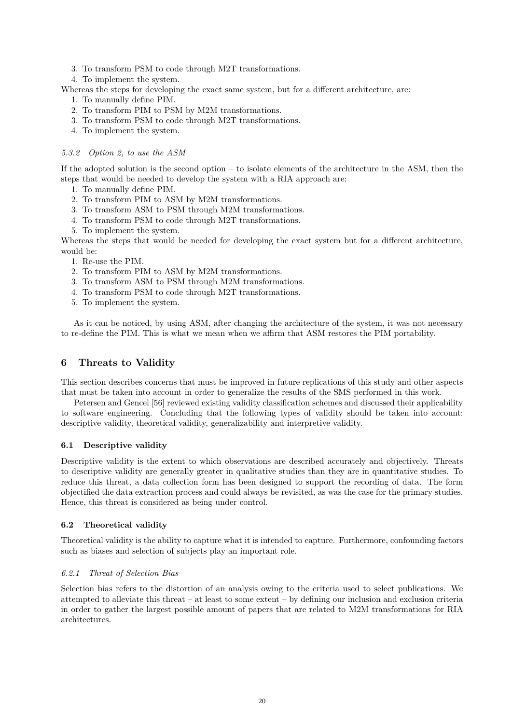- 3. To transform PSM to code through M2T transformations.
- 4. To implement the system.

Whereas the steps for developing the exact same system, but for a different architecture, are:

- 1. To manually define PIM.
- 2. To transform PIM to PSM by M2M transformations.
- 3. To transform PSM to code through M2T transformations.
- 4. To implement the system.

## *5.3.2 Option 2, to use the ASM*

If the adopted solution is the second option – to isolate elements of the architecture in the ASM, then the steps that would be needed to develop the system with a RIA approach are:

- 1. To manually define PIM.
- 2. To transform PIM to ASM by M2M transformations.
- 3. To transform ASM to PSM through M2M transformations.
- 4. To transform PSM to code through M2T transformations.
- 5. To implement the system.

Whereas the steps that would be needed for developing the exact system but for a different architecture, would be:

- 1. Re-use the PIM.
- 2. To transform PIM to ASM by M2M transformations.
- 3. To transform ASM to PSM through M2M transformations.
- 4. To transform PSM to code through M2T transformations.
- 5. To implement the system.

As it can be noticed, by using ASM, after changing the architecture of the system, it was not necessary to re-define the PIM. This is what we mean when we affirm that ASM restores the PIM portability.

# <span id="page-19-0"></span>**6 Threats to Validity**

This section describes concerns that must be improved in future replications of this study and other aspects that must be taken into account in order to generalize the results of the SMS performed in this work.

Petersen and Gencel [\[56\]](#page-25-13) reviewed existing validity classification schemes and discussed their applicability to software engineering. Concluding that the following types of validity should be taken into account: descriptive validity, theoretical validity, generalizability and interpretive validity.

## **6.1 Descriptive validity**

Descriptive validity is the extent to which observations are described accurately and objectively. Threats to descriptive validity are generally greater in qualitative studies than they are in quantitative studies. To reduce this threat, a data collection form has been designed to support the recording of data. The form objectified the data extraction process and could always be revisited, as was the case for the primary studies. Hence, this threat is considered as being under control.

## **6.2 Theoretical validity**

Theoretical validity is the ability to capture what it is intended to capture. Furthermore, confounding factors such as biases and selection of subjects play an important role.

## *6.2.1 Threat of Selection Bias*

Selection bias refers to the distortion of an analysis owing to the criteria used to select publications. We attempted to alleviate this threat – at least to some extent – by defining our inclusion and exclusion criteria in order to gather the largest possible amount of papers that are related to M2M transformations for RIA architectures.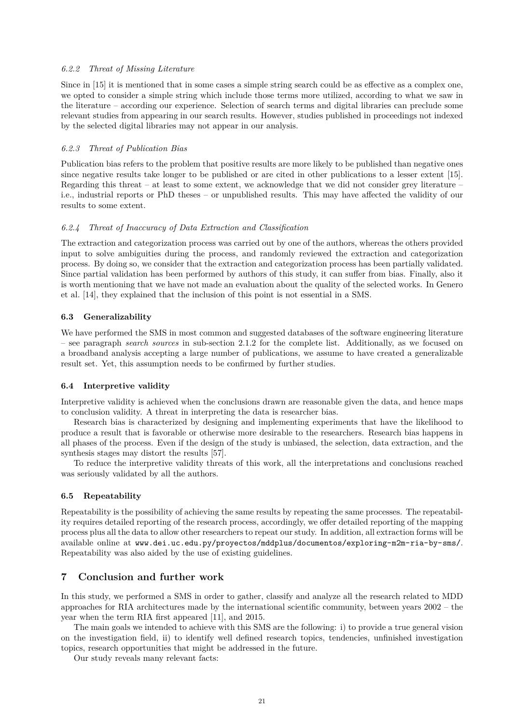## *6.2.2 Threat of Missing Literature*

Since in [\[15\]](#page-22-14) it is mentioned that in some cases a simple string search could be as effective as a complex one, we opted to consider a simple string which include those terms more utilized, according to what we saw in the literature – according our experience. Selection of search terms and digital libraries can preclude some relevant studies from appearing in our search results. However, studies published in proceedings not indexed by the selected digital libraries may not appear in our analysis.

#### *6.2.3 Threat of Publication Bias*

Publication bias refers to the problem that positive results are more likely to be published than negative ones since negative results take longer to be published or are cited in other publications to a lesser extent [\[15\]](#page-22-14). Regarding this threat – at least to some extent, we acknowledge that we did not consider grey literature – i.e., industrial reports or PhD theses – or unpublished results. This may have affected the validity of our results to some extent.

#### *6.2.4 Threat of Inaccuracy of Data Extraction and Classification*

The extraction and categorization process was carried out by one of the authors, whereas the others provided input to solve ambiguities during the process, and randomly reviewed the extraction and categorization process. By doing so, we consider that the extraction and categorization process has been partially validated. Since partial validation has been performed by authors of this study, it can suffer from bias. Finally, also it is worth mentioning that we have not made an evaluation about the quality of the selected works. In Genero et al. [\[14\]](#page-22-13), they explained that the inclusion of this point is not essential in a SMS.

#### **6.3 Generalizability**

We have performed the SMS in most common and suggested databases of the software engineering literature – see paragraph *search sources* in sub-section [2.1.2](#page-2-1) for the complete list. Additionally, as we focused on a broadband analysis accepting a large number of publications, we assume to have created a generalizable result set. Yet, this assumption needs to be confirmed by further studies.

#### **6.4 Interpretive validity**

Interpretive validity is achieved when the conclusions drawn are reasonable given the data, and hence maps to conclusion validity. A threat in interpreting the data is researcher bias.

Research bias is characterized by designing and implementing experiments that have the likelihood to produce a result that is favorable or otherwise more desirable to the researchers. Research bias happens in all phases of the process. Even if the design of the study is unbiased, the selection, data extraction, and the synthesis stages may distort the results [\[57\]](#page-25-14).

To reduce the interpretive validity threats of this work, all the interpretations and conclusions reached was seriously validated by all the authors.

#### **6.5 Repeatability**

Repeatability is the possibility of achieving the same results by repeating the same processes. The repeatability requires detailed reporting of the research process, accordingly, we offer detailed reporting of the mapping process plus all the data to allow other researchers to repeat our study. In addition, all extraction forms will be available online at <www.dei.uc.edu.py/proyectos/mddplus/documentos/exploring-m2m-ria-by-sms/>. Repeatability was also aided by the use of existing guidelines.

## **7 Conclusion and further work**

In this study, we performed a SMS in order to gather, classify and analyze all the research related to MDD approaches for RIA architectures made by the international scientific community, between years 2002 – the year when the term RIA first appeared [\[11\]](#page-22-10), and 2015.

The main goals we intended to achieve with this SMS are the following: i) to provide a true general vision on the investigation field, ii) to identify well defined research topics, tendencies, unfinished investigation topics, research opportunities that might be addressed in the future.

Our study reveals many relevant facts: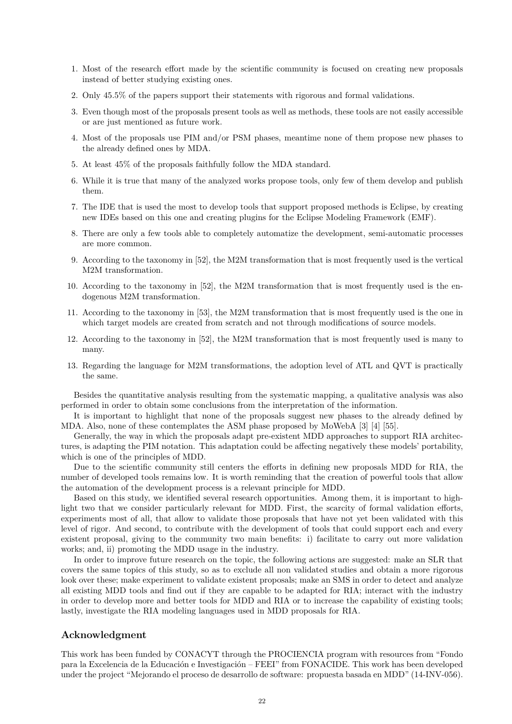- 1. Most of the research effort made by the scientific community is focused on creating new proposals instead of better studying existing ones.
- 2. Only 45.5% of the papers support their statements with rigorous and formal validations.
- 3. Even though most of the proposals present tools as well as methods, these tools are not easily accessible or are just mentioned as future work.
- 4. Most of the proposals use PIM and/or PSM phases, meantime none of them propose new phases to the already defined ones by MDA.
- 5. At least 45% of the proposals faithfully follow the MDA standard.
- 6. While it is true that many of the analyzed works propose tools, only few of them develop and publish them.
- 7. The IDE that is used the most to develop tools that support proposed methods is Eclipse, by creating new IDEs based on this one and creating plugins for the Eclipse Modeling Framework (EMF).
- 8. There are only a few tools able to completely automatize the development, semi-automatic processes are more common.
- 9. According to the taxonomy in [\[52\]](#page-25-9), the M2M transformation that is most frequently used is the vertical M2M transformation.
- 10. According to the taxonomy in [\[52\]](#page-25-9), the M2M transformation that is most frequently used is the endogenous M2M transformation.
- 11. According to the taxonomy in [\[53\]](#page-25-10), the M2M transformation that is most frequently used is the one in which target models are created from scratch and not through modifications of source models.
- 12. According to the taxonomy in [\[52\]](#page-25-9), the M2M transformation that is most frequently used is many to many.
- 13. Regarding the language for M2M transformations, the adoption level of ATL and QVT is practically the same.

Besides the quantitative analysis resulting from the systematic mapping, a qualitative analysis was also performed in order to obtain some conclusions from the interpretation of the information.

It is important to highlight that none of the proposals suggest new phases to the already defined by MDA. Also, none of these contemplates the ASM phase proposed by MoWebA [\[3\]](#page-22-2) [\[4\]](#page-22-3) [\[55\]](#page-25-12).

Generally, the way in which the proposals adapt pre-existent MDD approaches to support RIA architectures, is adapting the PIM notation. This adaptation could be affecting negatively these models' portability, which is one of the principles of MDD.

Due to the scientific community still centers the efforts in defining new proposals MDD for RIA, the number of developed tools remains low. It is worth reminding that the creation of powerful tools that allow the automation of the development process is a relevant principle for MDD.

Based on this study, we identified several research opportunities. Among them, it is important to highlight two that we consider particularly relevant for MDD. First, the scarcity of formal validation efforts, experiments most of all, that allow to validate those proposals that have not yet been validated with this level of rigor. And second, to contribute with the development of tools that could support each and every existent proposal, giving to the community two main benefits: i) facilitate to carry out more validation works; and, ii) promoting the MDD usage in the industry.

In order to improve future research on the topic, the following actions are suggested: make an SLR that covers the same topics of this study, so as to exclude all non validated studies and obtain a more rigorous look over these; make experiment to validate existent proposals; make an SMS in order to detect and analyze all existing MDD tools and find out if they are capable to be adapted for RIA; interact with the industry in order to develop more and better tools for MDD and RIA or to increase the capability of existing tools; lastly, investigate the RIA modeling languages used in MDD proposals for RIA.

## **Acknowledgment**

This work has been funded by CONACYT through the PROCIENCIA program with resources from "Fondo para la Excelencia de la Educación e Investigación – FEEI" from FONACIDE. This work has been developed under the project "Mejorando el proceso de desarrollo de software: propuesta basada en MDD" (14-INV-056).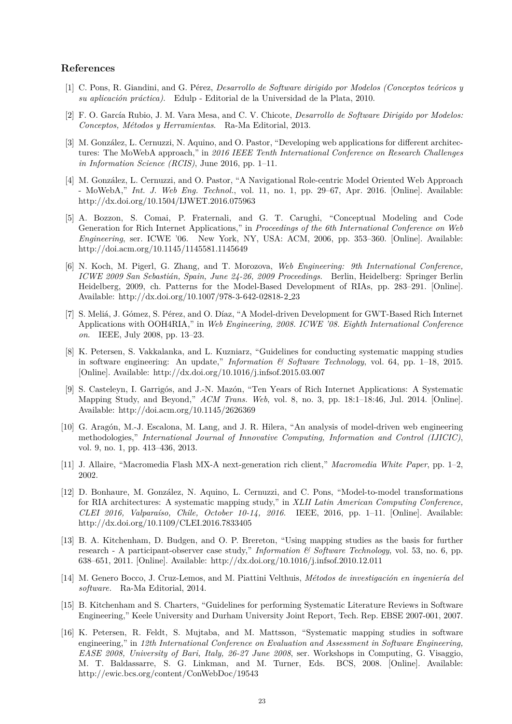## **References**

- <span id="page-22-0"></span>[1] C. Pons, R. Giandini, and G. Pérez, *Desarrollo de Software dirigido por Modelos (Conceptos teóricos y su aplicaci´on pr´actica)*. Edulp - Editorial de la Universidad de la Plata, 2010.
- <span id="page-22-1"></span>[2] F. O. Garc´ıa Rubio, J. M. Vara Mesa, and C. V. Chicote, *Desarrollo de Software Dirigido por Modelos: Conceptos, M´etodos y Herramientas*. Ra-Ma Editorial, 2013.
- <span id="page-22-2"></span>[3] M. González, L. Cernuzzi, N. Aquino, and O. Pastor, "Developing web applications for different architectures: The MoWebA approach," in *2016 IEEE Tenth International Conference on Research Challenges in Information Science (RCIS)*, June 2016, pp. 1–11.
- <span id="page-22-3"></span>[4] M. González, L. Cernuzzi, and O. Pastor, "A Navigational Role-centric Model Oriented Web Approach - MoWebA," *Int. J. Web Eng. Technol.*, vol. 11, no. 1, pp. 29–67, Apr. 2016. [Online]. Available: <http://dx.doi.org/10.1504/IJWET.2016.075963>
- <span id="page-22-4"></span>[5] A. Bozzon, S. Comai, P. Fraternali, and G. T. Carughi, "Conceptual Modeling and Code Generation for Rich Internet Applications," in *Proceedings of the 6th International Conference on Web Engineering*, ser. ICWE '06. New York, NY, USA: ACM, 2006, pp. 353–360. [Online]. Available: <http://doi.acm.org/10.1145/1145581.1145649>
- <span id="page-22-5"></span>[6] N. Koch, M. Pigerl, G. Zhang, and T. Morozova, *Web Engineering: 9th International Conference, ICWE 2009 San Sebasti´an, Spain, June 24-26, 2009 Proceedings*. Berlin, Heidelberg: Springer Berlin Heidelberg, 2009, ch. Patterns for the Model-Based Development of RIAs, pp. 283–291. [Online]. Available: [http://dx.doi.org/10.1007/978-3-642-02818-2](http://dx.doi.org/10.1007/978-3-642-02818-2_23) 23
- <span id="page-22-6"></span>[7] S. Meliá, J. Gómez, S. Pérez, and O. Díaz, "A Model-driven Development for GWT-Based Rich Internet Applications with OOH4RIA," in *Web Engineering, 2008. ICWE '08. Eighth International Conference on*. IEEE, July 2008, pp. 13–23.
- <span id="page-22-7"></span>[8] K. Petersen, S. Vakkalanka, and L. Kuzniarz, "Guidelines for conducting systematic mapping studies in software engineering: An update," *Information & Software Technology*, vol. 64, pp. 1–18, 2015. [Online]. Available:<http://dx.doi.org/10.1016/j.infsof.2015.03.007>
- <span id="page-22-8"></span>[9] S. Casteleyn, I. Garrigós, and J.-N. Mazón, "Ten Years of Rich Internet Applications: A Systematic Mapping Study, and Beyond," *ACM Trans. Web*, vol. 8, no. 3, pp. 18:1–18:46, Jul. 2014. [Online]. Available:<http://doi.acm.org/10.1145/2626369>
- <span id="page-22-9"></span>[10] G. Aragón, M.-J. Escalona, M. Lang, and J. R. Hilera, "An analysis of model-driven web engineering methodologies," *International Journal of Innovative Computing, Information and Control (IJICIC)*, vol. 9, no. 1, pp. 413–436, 2013.
- <span id="page-22-10"></span>[11] J. Allaire, "Macromedia Flash MX-A next-generation rich client," *Macromedia White Paper*, pp. 1–2, 2002.
- <span id="page-22-11"></span>[12] D. Bonhaure, M. González, N. Aquino, L. Cernuzzi, and C. Pons, "Model-to-model transformations for RIA architectures: A systematic mapping study," in *XLII Latin American Computing Conference, CLEI 2016, Valpara´ıso, Chile, October 10-14, 2016*. IEEE, 2016, pp. 1–11. [Online]. Available: <http://dx.doi.org/10.1109/CLEI.2016.7833405>
- <span id="page-22-12"></span>[13] B. A. Kitchenham, D. Budgen, and O. P. Brereton, "Using mapping studies as the basis for further research - A participant-observer case study," *Information & Software Technology*, vol. 53, no. 6, pp. 638–651, 2011. [Online]. Available:<http://dx.doi.org/10.1016/j.infsof.2010.12.011>
- <span id="page-22-13"></span>[14] M. Genero Bocco, J. Cruz-Lemos, and M. Piattini Velthuis, *Métodos de investigación en ingeniería del software.* Ra-Ma Editorial, 2014.
- <span id="page-22-14"></span>[15] B. Kitchenham and S. Charters, "Guidelines for performing Systematic Literature Reviews in Software Engineering," Keele University and Durham University Joint Report, Tech. Rep. EBSE 2007-001, 2007.
- <span id="page-22-15"></span>[16] K. Petersen, R. Feldt, S. Mujtaba, and M. Mattsson, "Systematic mapping studies in software engineering," in *12th International Conference on Evaluation and Assessment in Software Engineering, EASE 2008, University of Bari, Italy, 26-27 June 2008*, ser. Workshops in Computing, G. Visaggio, M. T. Baldassarre, S. G. Linkman, and M. Turner, Eds. BCS, 2008. [Online]. Available: <http://ewic.bcs.org/content/ConWebDoc/19543>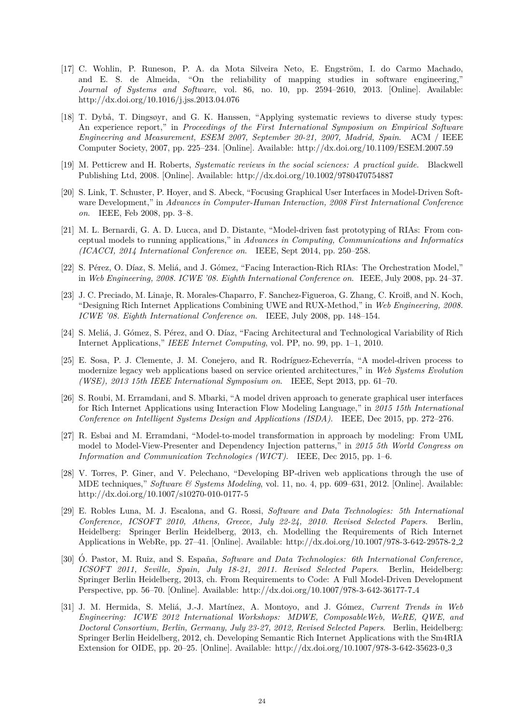- <span id="page-23-0"></span>[17] C. Wohlin, P. Runeson, P. A. da Mota Silveira Neto, E. Engström, I. do Carmo Machado, and E. S. de Almeida, "On the reliability of mapping studies in software engineering," *Journal of Systems and Software*, vol. 86, no. 10, pp. 2594–2610, 2013. [Online]. Available: <http://dx.doi.org/10.1016/j.jss.2013.04.076>
- <span id="page-23-1"></span>[18] T. Dybå, T. Dingsøyr, and G. K. Hanssen, "Applying systematic reviews to diverse study types: An experience report," in *Proceedings of the First International Symposium on Empirical Software Engineering and Measurement, ESEM 2007, September 20-21, 2007, Madrid, Spain*. ACM / IEEE Computer Society, 2007, pp. 225–234. [Online]. Available:<http://dx.doi.org/10.1109/ESEM.2007.59>
- <span id="page-23-2"></span>[19] M. Petticrew and H. Roberts, *Systematic reviews in the social sciences: A practical guide*. Blackwell Publishing Ltd, 2008. [Online]. Available:<http://dx.doi.org/10.1002/9780470754887>
- <span id="page-23-3"></span>[20] S. Link, T. Schuster, P. Hoyer, and S. Abeck, "Focusing Graphical User Interfaces in Model-Driven Software Development," in *Advances in Computer-Human Interaction, 2008 First International Conference on*. IEEE, Feb 2008, pp. 3–8.
- <span id="page-23-12"></span>[21] M. L. Bernardi, G. A. D. Lucca, and D. Distante, "Model-driven fast prototyping of RIAs: From conceptual models to running applications," in *Advances in Computing, Communications and Informatics (ICACCI, 2014 International Conference on*. IEEE, Sept 2014, pp. 250–258.
- <span id="page-23-7"></span>[22] S. Pérez, O. Díaz, S. Meliá, and J. Gómez, "Facing Interaction-Rich RIAs: The Orchestration Model," in *Web Engineering, 2008. ICWE '08. Eighth International Conference on*. IEEE, July 2008, pp. 24–37.
- <span id="page-23-6"></span>[23] J. C. Preciado, M. Linaje, R. Morales-Chaparro, F. Sanchez-Figueroa, G. Zhang, C. Kroiß, and N. Koch, "Designing Rich Internet Applications Combining UWE and RUX-Method," in *Web Engineering, 2008. ICWE '08. Eighth International Conference on*. IEEE, July 2008, pp. 148–154.
- <span id="page-23-8"></span>[24] S. Meliá, J. Gómez, S. Pérez, and O. Díaz, "Facing Architectural and Technological Variability of Rich Internet Applications," *IEEE Internet Computing*, vol. PP, no. 99, pp. 1–1, 2010.
- <span id="page-23-13"></span>[25] E. Sosa, P. J. Clemente, J. M. Conejero, and R. Rodríguez-Echeverría, "A model-driven process to modernize legacy web applications based on service oriented architectures," in *Web Systems Evolution (WSE), 2013 15th IEEE International Symposium on*. IEEE, Sept 2013, pp. 61–70.
- <span id="page-23-9"></span>[26] S. Roubi, M. Erramdani, and S. Mbarki, "A model driven approach to generate graphical user interfaces for Rich Internet Applications using Interaction Flow Modeling Language," in *2015 15th International Conference on Intelligent Systems Design and Applications (ISDA)*. IEEE, Dec 2015, pp. 272–276.
- <span id="page-23-4"></span>[27] R. Esbai and M. Erramdani, "Model-to-model transformation in approach by modeling: From UML model to Model-View-Presenter and Dependency Injection patterns," in *2015 5th World Congress on Information and Communication Technologies (WICT)*. IEEE, Dec 2015, pp. 1–6.
- <span id="page-23-5"></span>[28] V. Torres, P. Giner, and V. Pelechano, "Developing BP-driven web applications through the use of MDE techniques," *Software & Systems Modeling*, vol. 11, no. 4, pp. 609–631, 2012. [Online]. Available: <http://dx.doi.org/10.1007/s10270-010-0177-5>
- <span id="page-23-10"></span>[29] E. Robles Luna, M. J. Escalona, and G. Rossi, *Software and Data Technologies: 5th International Conference, ICSOFT 2010, Athens, Greece, July 22-24, 2010. Revised Selected Papers*. Berlin, Heidelberg: Springer Berlin Heidelberg, 2013, ch. Modelling the Requirements of Rich Internet Applications in WebRe, pp. 27–41. [Online]. Available: [http://dx.doi.org/10.1007/978-3-642-29578-2](http://dx.doi.org/10.1007/978-3-642-29578-2_2) 2
- <span id="page-23-14"></span>[30] O. Pastor, M. Ruiz, and S. España, *Software and Data Technologies: 6th International Conference*, *ICSOFT 2011, Seville, Spain, July 18-21, 2011. Revised Selected Papers*. Berlin, Heidelberg: Springer Berlin Heidelberg, 2013, ch. From Requirements to Code: A Full Model-Driven Development Perspective, pp. 56–70. [Online]. Available: [http://dx.doi.org/10.1007/978-3-642-36177-7](http://dx.doi.org/10.1007/978-3-642-36177-7_4) 4
- <span id="page-23-11"></span>[31] J. M. Hermida, S. Meli´a, J.-J. Mart´ınez, A. Montoyo, and J. G´omez, *Current Trends in Web Engineering: ICWE 2012 International Workshops: MDWE, ComposableWeb, WeRE, QWE, and Doctoral Consortium, Berlin, Germany, July 23-27, 2012, Revised Selected Papers*. Berlin, Heidelberg: Springer Berlin Heidelberg, 2012, ch. Developing Semantic Rich Internet Applications with the Sm4RIA Extension for OIDE, pp. 20–25. [Online]. Available: [http://dx.doi.org/10.1007/978-3-642-35623-0](http://dx.doi.org/10.1007/978-3-642-35623-0_3) 3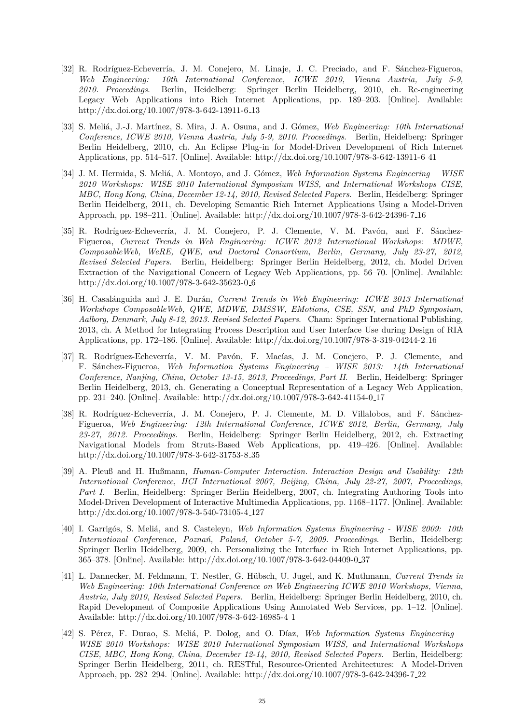- <span id="page-24-0"></span>[32] R. Rodríguez-Echeverría, J. M. Conejero, M. Linaje, J. C. Preciado, and F. Sánchez-Figueroa, *Web Engineering: 10th International Conference, ICWE 2010, Vienna Austria, July 5-9, 2010. Proceedings*. Berlin, Heidelberg: Springer Berlin Heidelberg, 2010, ch. Re-engineering Legacy Web Applications into Rich Internet Applications, pp. 189–203. [Online]. Available: [http://dx.doi.org/10.1007/978-3-642-13911-6](http://dx.doi.org/10.1007/978-3-642-13911-6_13) 13
- <span id="page-24-1"></span>[33] S. Meli´a, J.-J. Mart´ınez, S. Mira, J. A. Osuna, and J. G´omez, *Web Engineering: 10th International Conference, ICWE 2010, Vienna Austria, July 5-9, 2010. Proceedings*. Berlin, Heidelberg: Springer Berlin Heidelberg, 2010, ch. An Eclipse Plug-in for Model-Driven Development of Rich Internet Applications, pp. 514–517. [Online]. Available: [http://dx.doi.org/10.1007/978-3-642-13911-6](http://dx.doi.org/10.1007/978-3-642-13911-6_41) 41
- <span id="page-24-4"></span>[34] J. M. Hermida, S. Meli´a, A. Montoyo, and J. G´omez, *Web Information Systems Engineering – WISE 2010 Workshops: WISE 2010 International Symposium WISS, and International Workshops CISE, MBC, Hong Kong, China, December 12-14, 2010, Revised Selected Papers*. Berlin, Heidelberg: Springer Berlin Heidelberg, 2011, ch. Developing Semantic Rich Internet Applications Using a Model-Driven Approach, pp. 198–211. [Online]. Available: [http://dx.doi.org/10.1007/978-3-642-24396-7](http://dx.doi.org/10.1007/978-3-642-24396-7_16) 16
- <span id="page-24-9"></span>[35] R. Rodríguez-Echeverría, J. M. Conejero, P. J. Clemente, V. M. Pavón, and F. Sánchez-Figueroa, *Current Trends in Web Engineering: ICWE 2012 International Workshops: MDWE, ComposableWeb, WeRE, QWE, and Doctoral Consortium, Berlin, Germany, July 23-27, 2012, Revised Selected Papers*. Berlin, Heidelberg: Springer Berlin Heidelberg, 2012, ch. Model Driven Extraction of the Navigational Concern of Legacy Web Applications, pp. 56–70. [Online]. Available: [http://dx.doi.org/10.1007/978-3-642-35623-0](http://dx.doi.org/10.1007/978-3-642-35623-0_6) 6
- <span id="page-24-10"></span>[36] H. Casal´anguida and J. E. Dur´an, *Current Trends in Web Engineering: ICWE 2013 International Workshops ComposableWeb, QWE, MDWE, DMSSW, EMotions, CSE, SSN, and PhD Symposium, Aalborg, Denmark, July 8-12, 2013. Revised Selected Papers*. Cham: Springer International Publishing, 2013, ch. A Method for Integrating Process Description and User Interface Use during Design of RIA Applications, pp. 172–186. [Online]. Available: [http://dx.doi.org/10.1007/978-3-319-04244-2](http://dx.doi.org/10.1007/978-3-319-04244-2_16) 16
- <span id="page-24-5"></span>[37] R. Rodríguez-Echeverría, V. M. Pavón, F. Macías, J. M. Conejero, P. J. Clemente, and F. S´anchez-Figueroa, *Web Information Systems Engineering – WISE 2013: 14th International Conference, Nanjing, China, October 13-15, 2013, Proceedings, Part II*. Berlin, Heidelberg: Springer Berlin Heidelberg, 2013, ch. Generating a Conceptual Representation of a Legacy Web Application, pp. 231–240. [Online]. Available: [http://dx.doi.org/10.1007/978-3-642-41154-0](http://dx.doi.org/10.1007/978-3-642-41154-0_17) 17
- <span id="page-24-2"></span>[38] R. Rodríguez-Echeverría, J. M. Conejero, P. J. Clemente, M. D. Villalobos, and F. Sánchez-Figueroa, *Web Engineering: 12th International Conference, ICWE 2012, Berlin, Germany, July 23-27, 2012. Proceedings*. Berlin, Heidelberg: Springer Berlin Heidelberg, 2012, ch. Extracting Navigational Models from Struts-Based Web Applications, pp. 419–426. [Online]. Available: [http://dx.doi.org/10.1007/978-3-642-31753-8](http://dx.doi.org/10.1007/978-3-642-31753-8_35) 35
- <span id="page-24-8"></span>[39] A. Pleuß and H. Hußmann, *Human-Computer Interaction. Interaction Design and Usability: 12th International Conference, HCI International 2007, Beijing, China, July 22-27, 2007, Proceedings, Part I*. Berlin, Heidelberg: Springer Berlin Heidelberg, 2007, ch. Integrating Authoring Tools into Model-Driven Development of Interactive Multimedia Applications, pp. 1168–1177. [Online]. Available: [http://dx.doi.org/10.1007/978-3-540-73105-4](http://dx.doi.org/10.1007/978-3-540-73105-4_127) 127
- <span id="page-24-6"></span>[40] I. Garrigós, S. Meliá, and S. Casteleyn, *Web Information Systems Engineering - WISE 2009: 10th International Conference, Pozna´n, Poland, October 5-7, 2009. Proceedings*. Berlin, Heidelberg: Springer Berlin Heidelberg, 2009, ch. Personalizing the Interface in Rich Internet Applications, pp. 365–378. [Online]. Available: [http://dx.doi.org/10.1007/978-3-642-04409-0](http://dx.doi.org/10.1007/978-3-642-04409-0_37) 37
- <span id="page-24-7"></span>[41] L. Dannecker, M. Feldmann, T. Nestler, G. H¨ubsch, U. Jugel, and K. Muthmann, *Current Trends in Web Engineering: 10th International Conference on Web Engineering ICWE 2010 Workshops, Vienna, Austria, July 2010, Revised Selected Papers*. Berlin, Heidelberg: Springer Berlin Heidelberg, 2010, ch. Rapid Development of Composite Applications Using Annotated Web Services, pp. 1–12. [Online]. Available: [http://dx.doi.org/10.1007/978-3-642-16985-4](http://dx.doi.org/10.1007/978-3-642-16985-4_1) 1
- <span id="page-24-3"></span>[42] S. P´erez, F. Durao, S. Meli´a, P. Dolog, and O. D´ıaz, *Web Information Systems Engineering – WISE 2010 Workshops: WISE 2010 International Symposium WISS, and International Workshops CISE, MBC, Hong Kong, China, December 12-14, 2010, Revised Selected Papers*. Berlin, Heidelberg: Springer Berlin Heidelberg, 2011, ch. RESTful, Resource-Oriented Architectures: A Model-Driven Approach, pp. 282–294. [Online]. Available: [http://dx.doi.org/10.1007/978-3-642-24396-7](http://dx.doi.org/10.1007/978-3-642-24396-7_22) 22